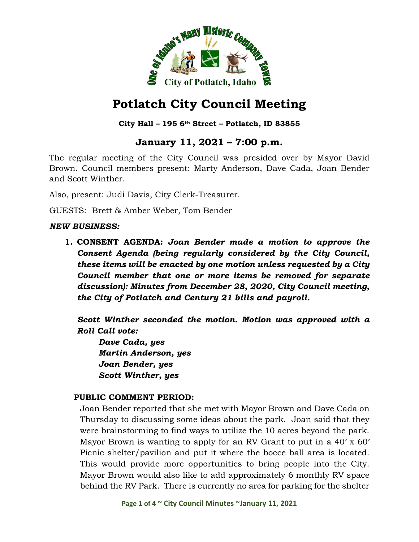

## **City Hall – 195 6th Street – Potlatch, ID 83855**

# **January 11, 2021 – 7:00 p.m.**

The regular meeting of the City Council was presided over by Mayor David Brown. Council members present: Marty Anderson, Dave Cada, Joan Bender and Scott Winther.

Also, present: Judi Davis, City Clerk-Treasurer.

GUESTS: Brett & Amber Weber, Tom Bender

#### *NEW BUSINESS:*

**1. CONSENT AGENDA:** *Joan Bender made a motion to approve the Consent Agenda (being regularly considered by the City Council, these items will be enacted by one motion unless requested by a City Council member that one or more items be removed for separate discussion): Minutes from December 28, 2020, City Council meeting, the City of Potlatch and Century 21 bills and payroll.*

*Scott Winther seconded the motion. Motion was approved with a Roll Call vote:*

*Dave Cada, yes Martin Anderson, yes Joan Bender, yes Scott Winther, yes*

#### **PUBLIC COMMENT PERIOD:**

Joan Bender reported that she met with Mayor Brown and Dave Cada on Thursday to discussing some ideas about the park. Joan said that they were brainstorming to find ways to utilize the 10 acres beyond the park. Mayor Brown is wanting to apply for an RV Grant to put in a 40' x 60' Picnic shelter/pavilion and put it where the bocce ball area is located. This would provide more opportunities to bring people into the City. Mayor Brown would also like to add approximately 6 monthly RV space behind the RV Park. There is currently no area for parking for the shelter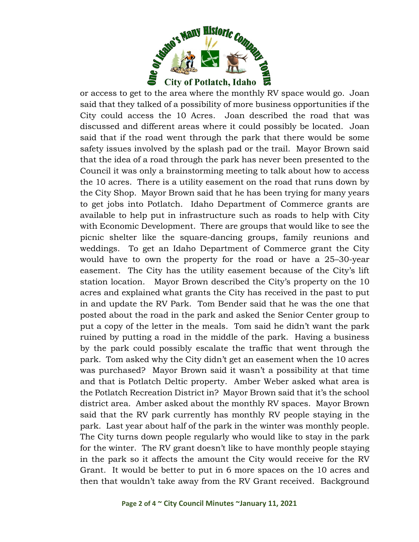

or access to get to the area where the monthly RV space would go. Joan said that they talked of a possibility of more business opportunities if the City could access the 10 Acres. Joan described the road that was discussed and different areas where it could possibly be located. Joan said that if the road went through the park that there would be some safety issues involved by the splash pad or the trail. Mayor Brown said that the idea of a road through the park has never been presented to the Council it was only a brainstorming meeting to talk about how to access the 10 acres. There is a utility easement on the road that runs down by the City Shop. Mayor Brown said that he has been trying for many years to get jobs into Potlatch. Idaho Department of Commerce grants are available to help put in infrastructure such as roads to help with City with Economic Development. There are groups that would like to see the picnic shelter like the square-dancing groups, family reunions and weddings. To get an Idaho Department of Commerce grant the City would have to own the property for the road or have a 25–30-year easement. The City has the utility easement because of the City's lift station location. Mayor Brown described the City's property on the 10 acres and explained what grants the City has received in the past to put in and update the RV Park. Tom Bender said that he was the one that posted about the road in the park and asked the Senior Center group to put a copy of the letter in the meals. Tom said he didn't want the park ruined by putting a road in the middle of the park. Having a business by the park could possibly escalate the traffic that went through the park. Tom asked why the City didn't get an easement when the 10 acres was purchased? Mayor Brown said it wasn't a possibility at that time and that is Potlatch Deltic property. Amber Weber asked what area is the Potlatch Recreation District in? Mayor Brown said that it's the school district area. Amber asked about the monthly RV spaces. Mayor Brown said that the RV park currently has monthly RV people staying in the park. Last year about half of the park in the winter was monthly people. The City turns down people regularly who would like to stay in the park for the winter. The RV grant doesn't like to have monthly people staying in the park so it affects the amount the City would receive for the RV Grant. It would be better to put in 6 more spaces on the 10 acres and then that wouldn't take away from the RV Grant received. Background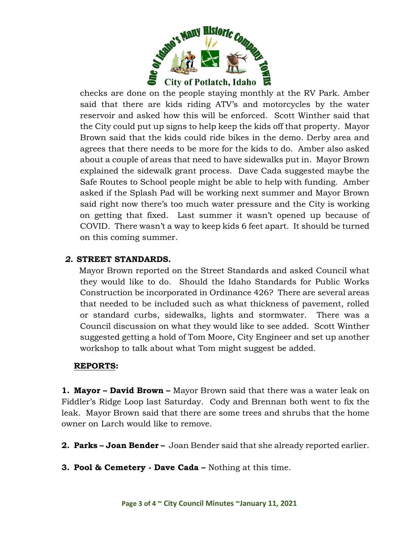

checks are done on the people staying monthly at the RV Park. Amber said that there are kids riding ATV's and motorcycles by the water reservoir and asked how this will be enforced. Scott Winther said that the City could put up signs to help keep the kids off that property. Mayor Brown said that the kids could ride bikes in the demo. Derby area and agrees that there needs to be more for the kids to do. Amber also asked about a couple of areas that need to have sidewalks put in. Mayor Brown explained the sidewalk grant process. Dave Cada suggested maybe the Safe Routes to School people might be able to help with funding. Amber asked if the Splash Pad will be working next summer and Mayor Brown said right now there's too much water pressure and the City is working on getting that fixed. Last summer it wasn't opened up because of COVID. There wasn't a way to keep kids 6 feet apart. It should be turned on this coming summer.

#### *2.* **STREET STANDARDS.**

 Mayor Brown reported on the Street Standards and asked Council what they would like to do. Should the Idaho Standards for Public Works Construction be incorporated in Ordinance 426? There are several areas that needed to be included such as what thickness of pavement, rolled or standard curbs, sidewalks, lights and stormwater. There was a Council discussion on what they would like to see added. Scott Winther suggested getting a hold of Tom Moore, City Engineer and set up another workshop to talk about what Tom might suggest be added.

#### **REPORTS:**

**1. Mayor – David Brown –** Mayor Brown said that there was a water leak on Fiddler's Ridge Loop last Saturday. Cody and Brennan both went to fix the leak. Mayor Brown said that there are some trees and shrubs that the home owner on Larch would like to remove.

- **2. Parks – Joan Bender –** Joan Bender said that she already reported earlier.
- **3. Pool & Cemetery - Dave Cada –** Nothing at this time.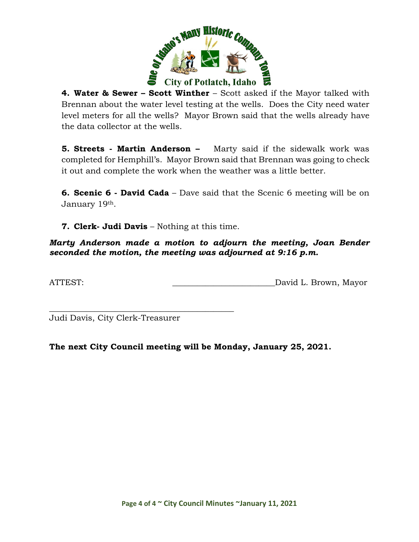

**4. Water & Sewer – Scott Winther** – Scott asked if the Mayor talked with Brennan about the water level testing at the wells. Does the City need water level meters for all the wells? Mayor Brown said that the wells already have the data collector at the wells.

**5. Streets - Martin Anderson –** Marty said if the sidewalk work was completed for Hemphill's. Mayor Brown said that Brennan was going to check it out and complete the work when the weather was a little better.

**6. Scenic 6 - David Cada** – Dave said that the Scenic 6 meeting will be on January 19th.

**7. Clerk- Judi Davis** – Nothing at this time.

*Marty Anderson made a motion to adjourn the meeting, Joan Bender seconded the motion, the meeting was adjourned at 9:16 p.m.*

ATTEST:  $\qquad \qquad$  David L. Brown, Mayor

\_\_\_\_\_\_\_\_\_\_\_\_\_\_\_\_\_\_\_\_\_\_\_\_\_\_\_\_\_\_\_\_\_\_\_\_\_\_\_\_\_\_\_\_\_ Judi Davis, City Clerk-Treasurer

**The next City Council meeting will be Monday, January 25, 2021.**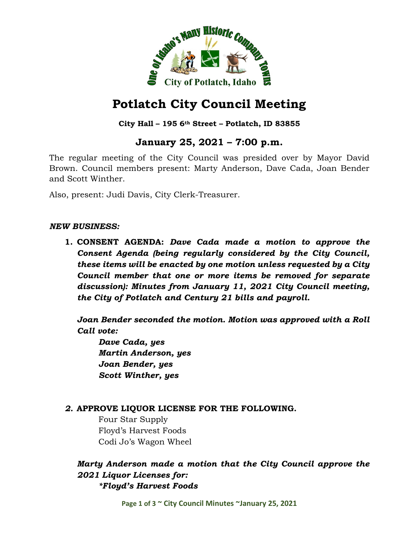

### **City Hall – 195 6th Street – Potlatch, ID 83855**

# **January 25, 2021 – 7:00 p.m.**

The regular meeting of the City Council was presided over by Mayor David Brown. Council members present: Marty Anderson, Dave Cada, Joan Bender and Scott Winther.

Also, present: Judi Davis, City Clerk-Treasurer.

#### *NEW BUSINESS:*

**1. CONSENT AGENDA:** *Dave Cada made a motion to approve the Consent Agenda (being regularly considered by the City Council, these items will be enacted by one motion unless requested by a City Council member that one or more items be removed for separate discussion): Minutes from January 11, 2021 City Council meeting, the City of Potlatch and Century 21 bills and payroll.*

*Joan Bender seconded the motion. Motion was approved with a Roll Call vote:*

*Dave Cada, yes Martin Anderson, yes Joan Bender, yes Scott Winther, yes*

## *2.* **APPROVE LIQUOR LICENSE FOR THE FOLLOWING.**

Four Star Supply Floyd's Harvest Foods Codi Jo's Wagon Wheel

## *Marty Anderson made a motion that the City Council approve the 2021 Liquor Licenses for: \*Floyd's Harvest Foods*

**Page 1 of 3 ~ City Council Minutes ~January 25, 2021**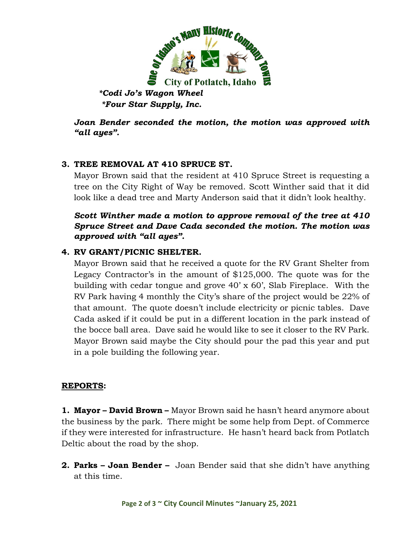

*\*Codi Jo's Wagon Wheel \*Four Star Supply, Inc.*

*Joan Bender seconded the motion, the motion was approved with "all ayes".*

## **3. TREE REMOVAL AT 410 SPRUCE ST.**

Mayor Brown said that the resident at 410 Spruce Street is requesting a tree on the City Right of Way be removed. Scott Winther said that it did look like a dead tree and Marty Anderson said that it didn't look healthy.

## *Scott Winther made a motion to approve removal of the tree at 410 Spruce Street and Dave Cada seconded the motion. The motion was approved with "all ayes".*

## **4. RV GRANT/PICNIC SHELTER.**

Mayor Brown said that he received a quote for the RV Grant Shelter from Legacy Contractor's in the amount of \$125,000. The quote was for the building with cedar tongue and grove 40' x 60', Slab Fireplace. With the RV Park having 4 monthly the City's share of the project would be 22% of that amount. The quote doesn't include electricity or picnic tables. Dave Cada asked if it could be put in a different location in the park instead of the bocce ball area. Dave said he would like to see it closer to the RV Park. Mayor Brown said maybe the City should pour the pad this year and put in a pole building the following year.

#### **REPORTS:**

**1. Mayor – David Brown –** Mayor Brown said he hasn't heard anymore about the business by the park. There might be some help from Dept. of Commerce if they were interested for infrastructure. He hasn't heard back from Potlatch Deltic about the road by the shop.

**2. Parks – Joan Bender –** Joan Bender said that she didn't have anything at this time.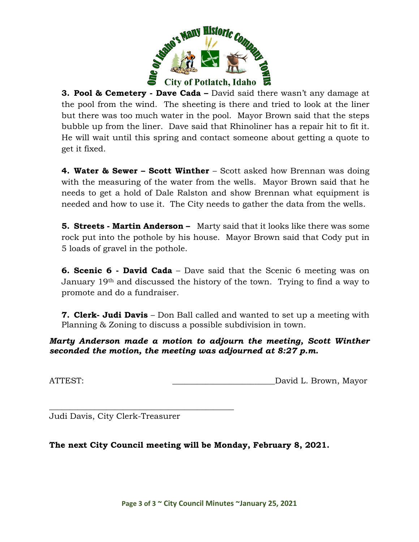

**3. Pool & Cemetery - Dave Cada –** David said there wasn't any damage at the pool from the wind. The sheeting is there and tried to look at the liner but there was too much water in the pool. Mayor Brown said that the steps bubble up from the liner. Dave said that Rhinoliner has a repair hit to fit it. He will wait until this spring and contact someone about getting a quote to get it fixed.

**4. Water & Sewer – Scott Winther** – Scott asked how Brennan was doing with the measuring of the water from the wells. Mayor Brown said that he needs to get a hold of Dale Ralston and show Brennan what equipment is needed and how to use it. The City needs to gather the data from the wells.

**5. Streets - Martin Anderson –** Marty said that it looks like there was some rock put into the pothole by his house. Mayor Brown said that Cody put in 5 loads of gravel in the pothole.

**6. Scenic 6 - David Cada** – Dave said that the Scenic 6 meeting was on January 19th and discussed the history of the town. Trying to find a way to promote and do a fundraiser.

**7. Clerk- Judi Davis** – Don Ball called and wanted to set up a meeting with Planning & Zoning to discuss a possible subdivision in town.

*Marty Anderson made a motion to adjourn the meeting, Scott Winther seconded the motion, the meeting was adjourned at 8:27 p.m.*

ATTEST:  $David L. Brown, Mayor$ 

Judi Davis, City Clerk-Treasurer

\_\_\_\_\_\_\_\_\_\_\_\_\_\_\_\_\_\_\_\_\_\_\_\_\_\_\_\_\_\_\_\_\_\_\_\_\_\_\_\_\_\_\_\_\_

**The next City Council meeting will be Monday, February 8, 2021.**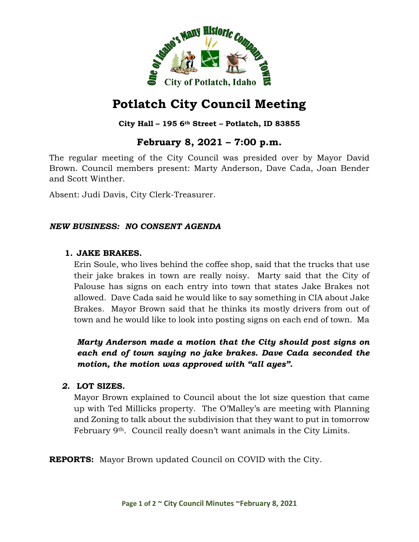

## **City Hall – 195 6th Street – Potlatch, ID 83855**

# **February 8, 2021 – 7:00 p.m.**

The regular meeting of the City Council was presided over by Mayor David Brown. Council members present: Marty Anderson, Dave Cada, Joan Bender and Scott Winther.

Absent: Judi Davis, City Clerk-Treasurer.

#### *NEW BUSINESS: NO CONSENT AGENDA*

#### **1. JAKE BRAKES.**

Erin Soule, who lives behind the coffee shop, said that the trucks that use their jake brakes in town are really noisy. Marty said that the City of Palouse has signs on each entry into town that states Jake Brakes not allowed. Dave Cada said he would like to say something in CIA about Jake Brakes. Mayor Brown said that he thinks its mostly drivers from out of town and he would like to look into posting signs on each end of town. Ma

*Marty Anderson made a motion that the City should post signs on each end of town saying no jake brakes. Dave Cada seconded the motion, the motion was approved with "all ayes".*

#### *2.* **LOT SIZES.**

Mayor Brown explained to Council about the lot size question that came up with Ted Millicks property. The O'Malley's are meeting with Planning and Zoning to talk about the subdivision that they want to put in tomorrow February 9<sup>th</sup>. Council really doesn't want animals in the City Limits.

**REPORTS:** Mayor Brown updated Council on COVID with the City.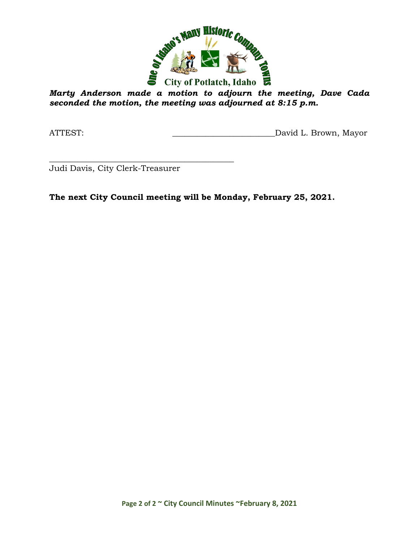

*Marty Anderson made a motion to adjourn the meeting, Dave Cada seconded the motion, the meeting was adjourned at 8:15 p.m.*

ATTEST: ATTEST: AND AND ALL DAVID L. Brown, Mayor

\_\_\_\_\_\_\_\_\_\_\_\_\_\_\_\_\_\_\_\_\_\_\_\_\_\_\_\_\_\_\_\_\_\_\_\_\_\_\_\_\_\_\_\_\_ Judi Davis, City Clerk-Treasurer

**The next City Council meeting will be Monday, February 25, 2021.**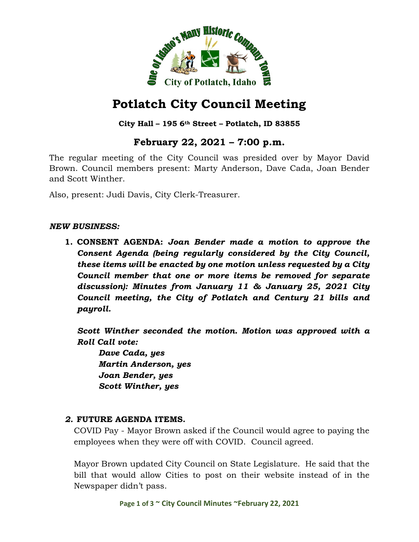

**City Hall – 195 6th Street – Potlatch, ID 83855**

# **February 22, 2021 – 7:00 p.m.**

The regular meeting of the City Council was presided over by Mayor David Brown. Council members present: Marty Anderson, Dave Cada, Joan Bender and Scott Winther.

Also, present: Judi Davis, City Clerk-Treasurer.

#### *NEW BUSINESS:*

**1. CONSENT AGENDA:** *Joan Bender made a motion to approve the Consent Agenda (being regularly considered by the City Council, these items will be enacted by one motion unless requested by a City Council member that one or more items be removed for separate discussion): Minutes from January 11 & January 25, 2021 City Council meeting, the City of Potlatch and Century 21 bills and payroll.*

*Scott Winther seconded the motion. Motion was approved with a Roll Call vote:*

*Dave Cada, yes Martin Anderson, yes Joan Bender, yes Scott Winther, yes*

#### *2.* **FUTURE AGENDA ITEMS.**

COVID Pay - Mayor Brown asked if the Council would agree to paying the employees when they were off with COVID. Council agreed.

Mayor Brown updated City Council on State Legislature. He said that the bill that would allow Cities to post on their website instead of in the Newspaper didn't pass.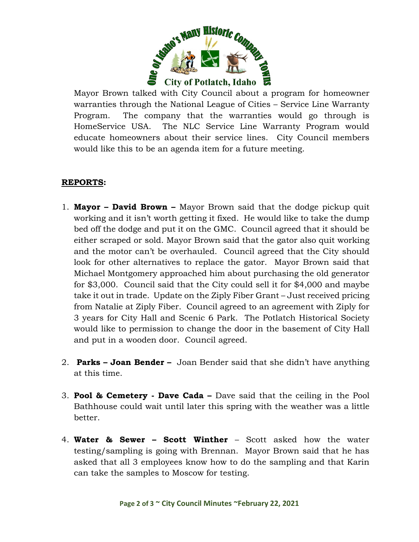

Mayor Brown talked with City Council about a program for homeowner warranties through the National League of Cities – Service Line Warranty Program. The company that the warranties would go through is HomeService USA. The NLC Service Line Warranty Program would educate homeowners about their service lines. City Council members would like this to be an agenda item for a future meeting.

## **REPORTS:**

- 1. **Mayor – David Brown –** Mayor Brown said that the dodge pickup quit working and it isn't worth getting it fixed. He would like to take the dump bed off the dodge and put it on the GMC. Council agreed that it should be either scraped or sold. Mayor Brown said that the gator also quit working and the motor can't be overhauled. Council agreed that the City should look for other alternatives to replace the gator. Mayor Brown said that Michael Montgomery approached him about purchasing the old generator for \$3,000. Council said that the City could sell it for \$4,000 and maybe take it out in trade. Update on the Ziply Fiber Grant – Just received pricing from Natalie at Ziply Fiber. Council agreed to an agreement with Ziply for 3 years for City Hall and Scenic 6 Park. The Potlatch Historical Society would like to permission to change the door in the basement of City Hall and put in a wooden door. Council agreed.
- 2. **Parks – Joan Bender –** Joan Bender said that she didn't have anything at this time.
- 3. **Pool & Cemetery - Dave Cada –** Dave said that the ceiling in the Pool Bathhouse could wait until later this spring with the weather was a little better.
- 4. **Water & Sewer – Scott Winther** Scott asked how the water testing/sampling is going with Brennan. Mayor Brown said that he has asked that all 3 employees know how to do the sampling and that Karin can take the samples to Moscow for testing.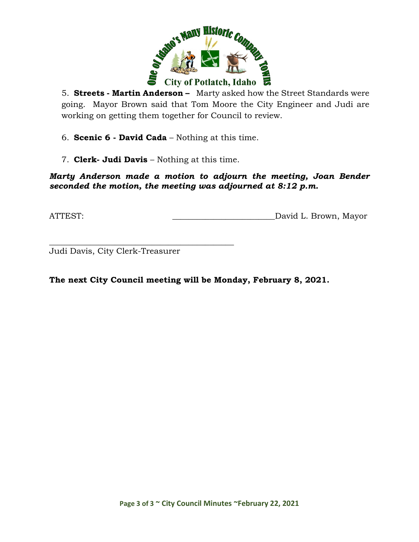

5. **Streets - Martin Anderson –** Marty asked how the Street Standards were going. Mayor Brown said that Tom Moore the City Engineer and Judi are working on getting them together for Council to review.

6. **Scenic 6 - David Cada** – Nothing at this time.

7. **Clerk- Judi Davis** – Nothing at this time.

*Marty Anderson made a motion to adjourn the meeting, Joan Bender seconded the motion, the meeting was adjourned at 8:12 p.m.*

ATTEST: David L. Brown, Mayor

\_\_\_\_\_\_\_\_\_\_\_\_\_\_\_\_\_\_\_\_\_\_\_\_\_\_\_\_\_\_\_\_\_\_\_\_\_\_\_\_\_\_\_\_\_ Judi Davis, City Clerk-Treasurer

**The next City Council meeting will be Monday, February 8, 2021.**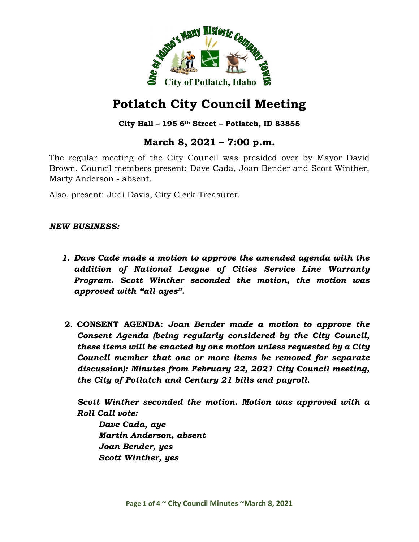

#### **City Hall – 195 6th Street – Potlatch, ID 83855**

# **March 8, 2021 – 7:00 p.m.**

The regular meeting of the City Council was presided over by Mayor David Brown. Council members present: Dave Cada, Joan Bender and Scott Winther, Marty Anderson - absent.

Also, present: Judi Davis, City Clerk-Treasurer.

#### *NEW BUSINESS:*

- *1. Dave Cade made a motion to approve the amended agenda with the addition of National League of Cities Service Line Warranty Program. Scott Winther seconded the motion, the motion was approved with "all ayes".*
- **2. CONSENT AGENDA:** *Joan Bender made a motion to approve the Consent Agenda (being regularly considered by the City Council, these items will be enacted by one motion unless requested by a City Council member that one or more items be removed for separate discussion): Minutes from February 22, 2021 City Council meeting, the City of Potlatch and Century 21 bills and payroll.*

*Scott Winther seconded the motion. Motion was approved with a Roll Call vote:*

*Dave Cada, aye Martin Anderson, absent Joan Bender, yes Scott Winther, yes*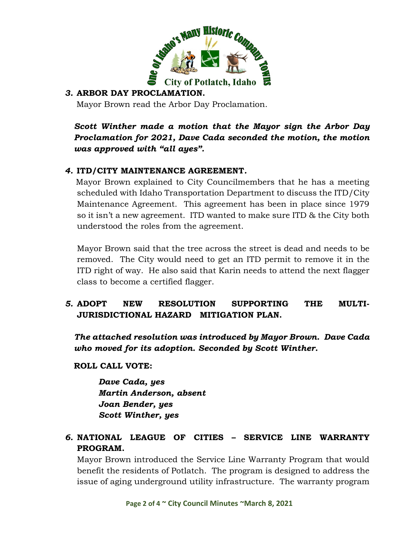

### *3.* **ARBOR DAY PROCLAMATION.**

Mayor Brown read the Arbor Day Proclamation.

*Scott Winther made a motion that the Mayor sign the Arbor Day Proclamation for 2021, Dave Cada seconded the motion, the motion was approved with "all ayes".*

## *4.* **ITD/CITY MAINTENANCE AGREEMENT***.*

Mayor Brown explained to City Councilmembers that he has a meeting scheduled with Idaho Transportation Department to discuss the ITD/City Maintenance Agreement. This agreement has been in place since 1979 so it isn't a new agreement. ITD wanted to make sure ITD & the City both understood the roles from the agreement.

Mayor Brown said that the tree across the street is dead and needs to be removed. The City would need to get an ITD permit to remove it in the ITD right of way. He also said that Karin needs to attend the next flagger class to become a certified flagger.

## *5.* **ADOPT NEW RESOLUTION SUPPORTING THE MULTI-JURISDICTIONAL HAZARD MITIGATION PLAN.**

*The attached resolution was introduced by Mayor Brown. Dave Cada who moved for its adoption. Seconded by Scott Winther.*

**ROLL CALL VOTE:**

*Dave Cada, yes Martin Anderson, absent Joan Bender, yes Scott Winther, yes*

## *6.* **NATIONAL LEAGUE OF CITIES – SERVICE LINE WARRANTY PROGRAM.**

Mayor Brown introduced the Service Line Warranty Program that would benefit the residents of Potlatch. The program is designed to address the issue of aging underground utility infrastructure. The warranty program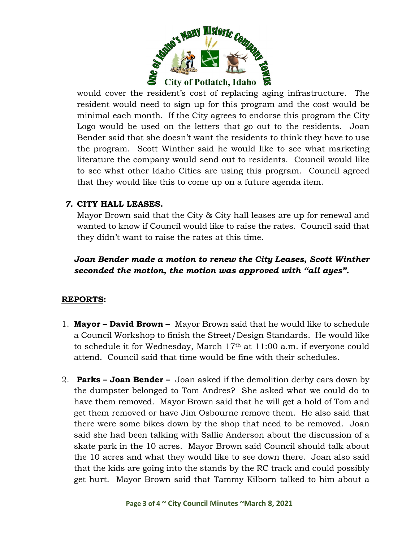

would cover the resident's cost of replacing aging infrastructure. The resident would need to sign up for this program and the cost would be minimal each month. If the City agrees to endorse this program the City Logo would be used on the letters that go out to the residents. Joan Bender said that she doesn't want the residents to think they have to use the program. Scott Winther said he would like to see what marketing literature the company would send out to residents. Council would like to see what other Idaho Cities are using this program. Council agreed that they would like this to come up on a future agenda item.

## *7.* **CITY HALL LEASES.**

Mayor Brown said that the City & City hall leases are up for renewal and wanted to know if Council would like to raise the rates. Council said that they didn't want to raise the rates at this time.

*Joan Bender made a motion to renew the City Leases, Scott Winther seconded the motion, the motion was approved with "all ayes".*

#### **REPORTS:**

- 1. **Mayor – David Brown** Mayor Brown said that he would like to schedule a Council Workshop to finish the Street/Design Standards. He would like to schedule it for Wednesday, March 17th at 11:00 a.m. if everyone could attend. Council said that time would be fine with their schedules.
- 2. **Parks – Joan Bender –** Joan asked if the demolition derby cars down by the dumpster belonged to Tom Andres? She asked what we could do to have them removed. Mayor Brown said that he will get a hold of Tom and get them removed or have Jim Osbourne remove them. He also said that there were some bikes down by the shop that need to be removed. Joan said she had been talking with Sallie Anderson about the discussion of a skate park in the 10 acres. Mayor Brown said Council should talk about the 10 acres and what they would like to see down there. Joan also said that the kids are going into the stands by the RC track and could possibly get hurt. Mayor Brown said that Tammy Kilborn talked to him about a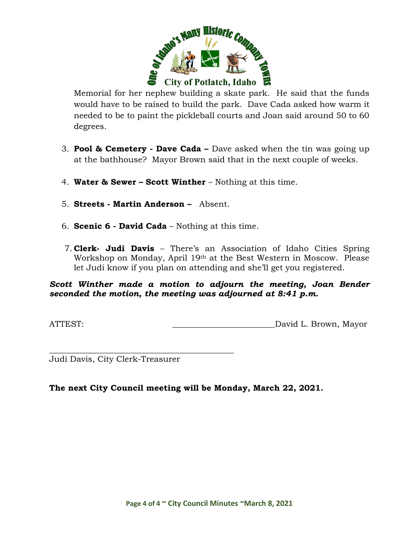

Memorial for her nephew building a skate park. He said that the funds would have to be raised to build the park. Dave Cada asked how warm it needed to be to paint the pickleball courts and Joan said around 50 to 60 degrees.

- 3. **Pool & Cemetery - Dave Cada –** Dave asked when the tin was going up at the bathhouse? Mayor Brown said that in the next couple of weeks.
- 4. **Water & Sewer – Scott Winther** Nothing at this time.
- 5. **Streets - Martin Anderson –** Absent.
- 6. **Scenic 6 - David Cada** Nothing at this time.
- 7. **Clerk- Judi Davis** There's an Association of Idaho Cities Spring Workshop on Monday, April 19th at the Best Western in Moscow. Please let Judi know if you plan on attending and she'll get you registered.

#### *Scott Winther made a motion to adjourn the meeting, Joan Bender seconded the motion, the meeting was adjourned at 8:41 p.m.*

ATTEST:  $\qquad \qquad$  David L. Brown, Mayor

\_\_\_\_\_\_\_\_\_\_\_\_\_\_\_\_\_\_\_\_\_\_\_\_\_\_\_\_\_\_\_\_\_\_\_\_\_\_\_\_\_\_\_\_\_ Judi Davis, City Clerk-Treasurer

**The next City Council meeting will be Monday, March 22, 2021.**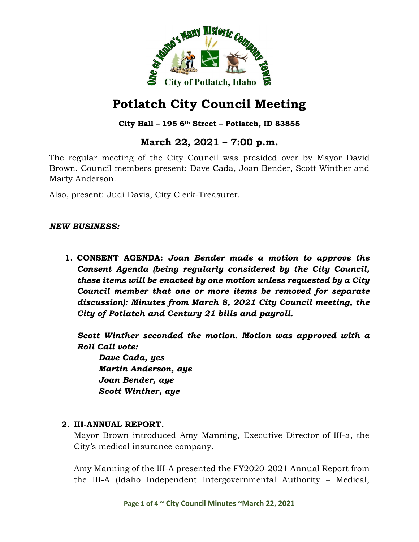

### **City Hall – 195 6th Street – Potlatch, ID 83855**

# **March 22, 2021 – 7:00 p.m.**

The regular meeting of the City Council was presided over by Mayor David Brown. Council members present: Dave Cada, Joan Bender, Scott Winther and Marty Anderson.

Also, present: Judi Davis, City Clerk-Treasurer.

#### *NEW BUSINESS:*

**1. CONSENT AGENDA:** *Joan Bender made a motion to approve the Consent Agenda (being regularly considered by the City Council, these items will be enacted by one motion unless requested by a City Council member that one or more items be removed for separate discussion): Minutes from March 8, 2021 City Council meeting, the City of Potlatch and Century 21 bills and payroll.*

*Scott Winther seconded the motion. Motion was approved with a Roll Call vote:*

*Dave Cada, yes Martin Anderson, aye Joan Bender, aye Scott Winther, aye*

#### **2. III-ANNUAL REPORT.**

Mayor Brown introduced Amy Manning, Executive Director of III-a, the City's medical insurance company.

Amy Manning of the III-A presented the FY2020-2021 Annual Report from the III-A (Idaho Independent Intergovernmental Authority – Medical,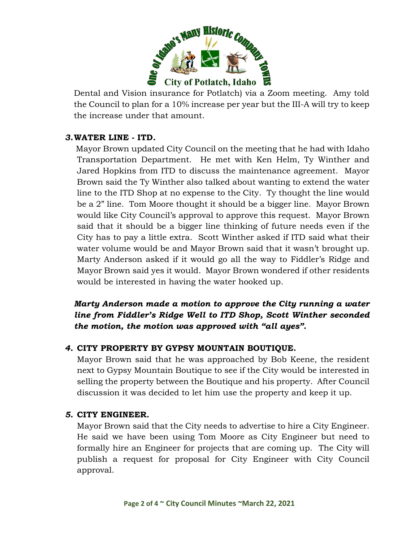

Dental and Vision insurance for Potlatch) via a Zoom meeting. Amy told the Council to plan for a 10% increase per year but the III-A will try to keep the increase under that amount.

## *3.***WATER LINE - ITD***.*

Mayor Brown updated City Council on the meeting that he had with Idaho Transportation Department. He met with Ken Helm, Ty Winther and Jared Hopkins from ITD to discuss the maintenance agreement. Mayor Brown said the Ty Winther also talked about wanting to extend the water line to the ITD Shop at no expense to the City. Ty thought the line would be a 2" line. Tom Moore thought it should be a bigger line. Mayor Brown would like City Council's approval to approve this request. Mayor Brown said that it should be a bigger line thinking of future needs even if the City has to pay a little extra. Scott Winther asked if ITD said what their water volume would be and Mayor Brown said that it wasn't brought up. Marty Anderson asked if it would go all the way to Fiddler's Ridge and Mayor Brown said yes it would. Mayor Brown wondered if other residents would be interested in having the water hooked up.

*Marty Anderson made a motion to approve the City running a water line from Fiddler's Ridge Well to ITD Shop, Scott Winther seconded the motion, the motion was approved with "all ayes".*

## *4.* **CITY PROPERTY BY GYPSY MOUNTAIN BOUTIQUE.**

Mayor Brown said that he was approached by Bob Keene, the resident next to Gypsy Mountain Boutique to see if the City would be interested in selling the property between the Boutique and his property. After Council discussion it was decided to let him use the property and keep it up.

#### *5.* **CITY ENGINEER.**

Mayor Brown said that the City needs to advertise to hire a City Engineer. He said we have been using Tom Moore as City Engineer but need to formally hire an Engineer for projects that are coming up. The City will publish a request for proposal for City Engineer with City Council approval.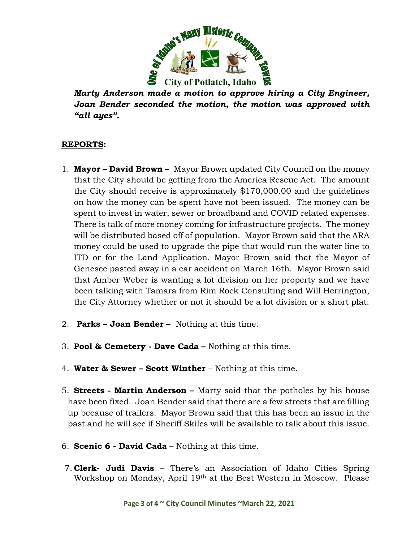

*Marty Anderson made a motion to approve hiring a City Engineer, Joan Bender seconded the motion, the motion was approved with "all ayes".*

#### **REPORTS:**

- 1. **Mayor – David Brown** Mayor Brown updated City Council on the money that the City should be getting from the America Rescue Act. The amount the City should receive is approximately \$170,000.00 and the guidelines on how the money can be spent have not been issued. The money can be spent to invest in water, sewer or broadband and COVID related expenses. There is talk of more money coming for infrastructure projects. The money will be distributed based off of population. Mayor Brown said that the ARA money could be used to upgrade the pipe that would run the water line to ITD or for the Land Application. Mayor Brown said that the Mayor of Genesee pasted away in a car accident on March 16th. Mayor Brown said that Amber Weber is wanting a lot division on her property and we have been talking with Tamara from Rim Rock Consulting and Will Herrington, the City Attorney whether or not it should be a lot division or a short plat.
- 2. **Parks – Joan Bender –** Nothing at this time.
- 3. **Pool & Cemetery - Dave Cada –** Nothing at this time.
- 4. **Water & Sewer – Scott Winther** Nothing at this time.
- 5. **Streets - Martin Anderson –** Marty said that the potholes by his house have been fixed. Joan Bender said that there are a few streets that are filling up because of trailers. Mayor Brown said that this has been an issue in the past and he will see if Sheriff Skiles will be available to talk about this issue.
- 6. **Scenic 6 - David Cada** Nothing at this time.
- 7. **Clerk- Judi Davis** There's an Association of Idaho Cities Spring Workshop on Monday, April 19th at the Best Western in Moscow. Please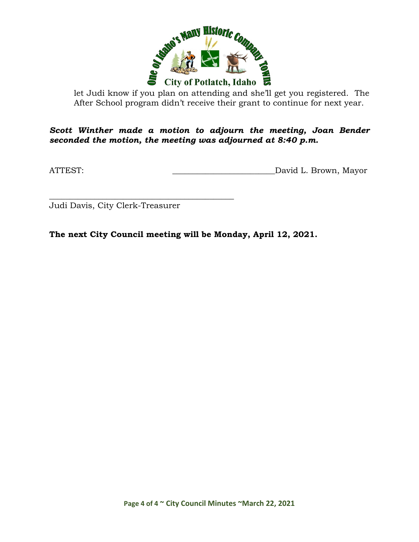

let Judi know if you plan on attending and she'll get you registered. The After School program didn't receive their grant to continue for next year.

*Scott Winther made a motion to adjourn the meeting, Joan Bender seconded the motion, the meeting was adjourned at 8:40 p.m.*

ATTEST: David L. Brown, Mayor

Judi Davis, City Clerk-Treasurer

\_\_\_\_\_\_\_\_\_\_\_\_\_\_\_\_\_\_\_\_\_\_\_\_\_\_\_\_\_\_\_\_\_\_\_\_\_\_\_\_\_\_\_\_\_

**The next City Council meeting will be Monday, April 12, 2021.**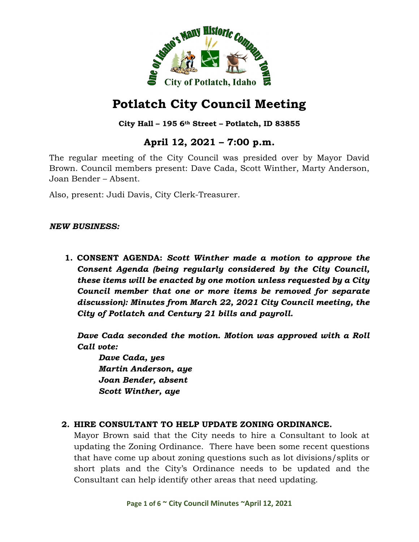

### **City Hall – 195 6th Street – Potlatch, ID 83855**

# **April 12, 2021 – 7:00 p.m.**

The regular meeting of the City Council was presided over by Mayor David Brown. Council members present: Dave Cada, Scott Winther, Marty Anderson, Joan Bender – Absent.

Also, present: Judi Davis, City Clerk-Treasurer.

#### *NEW BUSINESS:*

**1. CONSENT AGENDA:** *Scott Winther made a motion to approve the Consent Agenda (being regularly considered by the City Council, these items will be enacted by one motion unless requested by a City Council member that one or more items be removed for separate discussion): Minutes from March 22, 2021 City Council meeting, the City of Potlatch and Century 21 bills and payroll.*

*Dave Cada seconded the motion. Motion was approved with a Roll Call vote:*

*Dave Cada, yes Martin Anderson, aye Joan Bender, absent Scott Winther, aye*

#### **2. HIRE CONSULTANT TO HELP UPDATE ZONING ORDINANCE.**

Mayor Brown said that the City needs to hire a Consultant to look at updating the Zoning Ordinance. There have been some recent questions that have come up about zoning questions such as lot divisions/splits or short plats and the City's Ordinance needs to be updated and the Consultant can help identify other areas that need updating.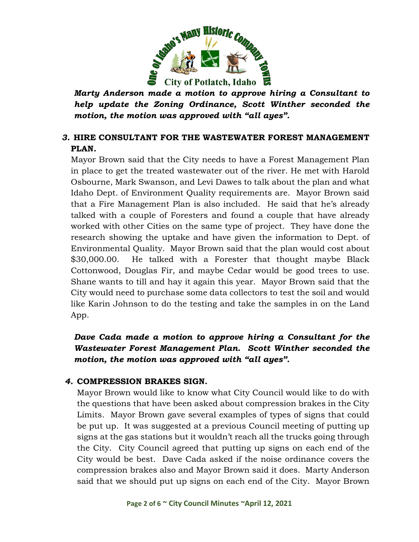

*Marty Anderson made a motion to approve hiring a Consultant to help update the Zoning Ordinance, Scott Winther seconded the motion, the motion was approved with "all ayes".*

## *3.* **HIRE CONSULTANT FOR THE WASTEWATER FOREST MANAGEMENT PLAN***.*

Mayor Brown said that the City needs to have a Forest Management Plan in place to get the treated wastewater out of the river. He met with Harold Osbourne, Mark Swanson, and Levi Dawes to talk about the plan and what Idaho Dept. of Environment Quality requirements are. Mayor Brown said that a Fire Management Plan is also included. He said that he's already talked with a couple of Foresters and found a couple that have already worked with other Cities on the same type of project. They have done the research showing the uptake and have given the information to Dept. of Environmental Quality. Mayor Brown said that the plan would cost about \$30,000.00. He talked with a Forester that thought maybe Black Cottonwood, Douglas Fir, and maybe Cedar would be good trees to use. Shane wants to till and hay it again this year. Mayor Brown said that the City would need to purchase some data collectors to test the soil and would like Karin Johnson to do the testing and take the samples in on the Land App.

## *Dave Cada made a motion to approve hiring a Consultant for the Wastewater Forest Management Plan. Scott Winther seconded the motion, the motion was approved with "all ayes".*

#### *4.* **COMPRESSION BRAKES SIGN.**

Mayor Brown would like to know what City Council would like to do with the questions that have been asked about compression brakes in the City Limits. Mayor Brown gave several examples of types of signs that could be put up. It was suggested at a previous Council meeting of putting up signs at the gas stations but it wouldn't reach all the trucks going through the City. City Council agreed that putting up signs on each end of the City would be best. Dave Cada asked if the noise ordinance covers the compression brakes also and Mayor Brown said it does. Marty Anderson said that we should put up signs on each end of the City. Mayor Brown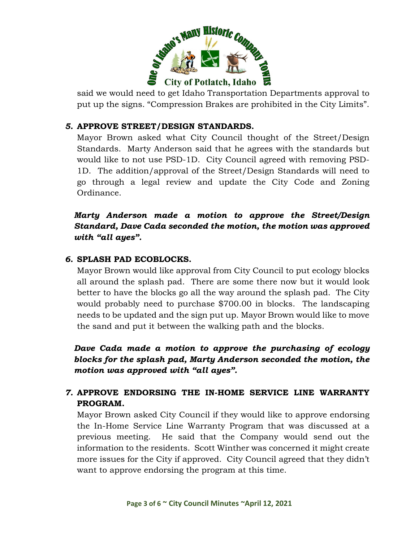

said we would need to get Idaho Transportation Departments approval to put up the signs. "Compression Brakes are prohibited in the City Limits".

### *5.* **APPROVE STREET/DESIGN STANDARDS.**

Mayor Brown asked what City Council thought of the Street/Design Standards. Marty Anderson said that he agrees with the standards but would like to not use PSD-1D. City Council agreed with removing PSD-1D. The addition/approval of the Street/Design Standards will need to go through a legal review and update the City Code and Zoning Ordinance.

*Marty Anderson made a motion to approve the Street/Design Standard, Dave Cada seconded the motion, the motion was approved with "all ayes".*

#### *6.* **SPLASH PAD ECOBLOCKS.**

Mayor Brown would like approval from City Council to put ecology blocks all around the splash pad. There are some there now but it would look better to have the blocks go all the way around the splash pad. The City would probably need to purchase \$700.00 in blocks. The landscaping needs to be updated and the sign put up. Mayor Brown would like to move the sand and put it between the walking path and the blocks.

*Dave Cada made a motion to approve the purchasing of ecology blocks for the splash pad, Marty Anderson seconded the motion, the motion was approved with "all ayes".*

## *7.* **APPROVE ENDORSING THE IN-HOME SERVICE LINE WARRANTY PROGRAM.**

Mayor Brown asked City Council if they would like to approve endorsing the In-Home Service Line Warranty Program that was discussed at a previous meeting. He said that the Company would send out the information to the residents. Scott Winther was concerned it might create more issues for the City if approved. City Council agreed that they didn't want to approve endorsing the program at this time.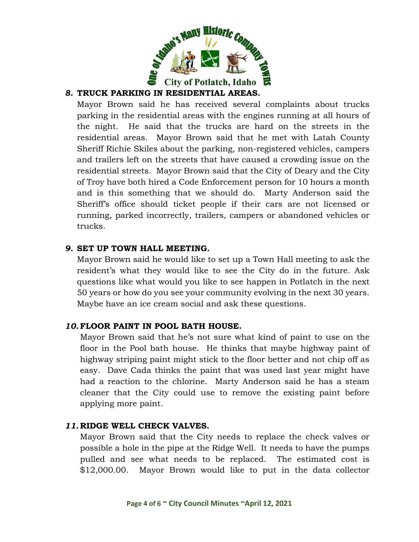

## *8.* **TRUCK PARKING IN RESIDENTIAL AREAS.**

Mayor Brown said he has received several complaints about trucks parking in the residential areas with the engines running at all hours of the night. He said that the trucks are hard on the streets in the residential areas. Mayor Brown said that he met with Latah County Sheriff Richie Skiles about the parking, non-registered vehicles, campers and trailers left on the streets that have caused a crowding issue on the residential streets. Mayor Brown said that the City of Deary and the City of Troy have both hired a Code Enforcement person for 10 hours a month and is this something that we should do. Marty Anderson said the Sheriff's office should ticket people if their cars are not licensed or running, parked incorrectly, trailers, campers or abandoned vehicles or trucks.

#### *9.* **SET UP TOWN HALL MEETING.**

Mayor Brown said he would like to set up a Town Hall meeting to ask the resident's what they would like to see the City do in the future. Ask questions like what would you like to see happen in Potlatch in the next 50 years or how do you see your community evolving in the next 30 years. Maybe have an ice cream social and ask these questions.

#### *10.* **FLOOR PAINT IN POOL BATH HOUSE.**

Mayor Brown said that he's not sure what kind of paint to use on the floor in the Pool bath house. He thinks that maybe highway paint of highway striping paint might stick to the floor better and not chip off as easy. Dave Cada thinks the paint that was used last year might have had a reaction to the chlorine. Marty Anderson said he has a steam cleaner that the City could use to remove the existing paint before applying more paint.

#### *11.* **RIDGE WELL CHECK VALVES.**

Mayor Brown said that the City needs to replace the check valves or possible a hole in the pipe at the Ridge Well. It needs to have the pumps pulled and see what needs to be replaced. The estimated cost is \$12,000.00. Mayor Brown would like to put in the data collector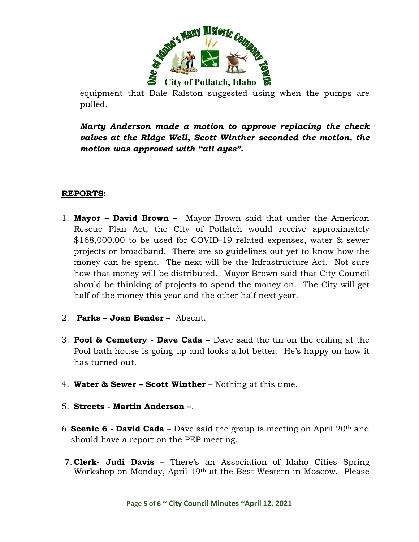

equipment that Dale Ralston suggested using when the pumps are pulled.

*Marty Anderson made a motion to approve replacing the check valves at the Ridge Well, Scott Winther seconded the motion, the motion was approved with "all ayes".*

#### **REPORTS:**

- 1. **Mayor – David Brown** Mayor Brown said that under the American Rescue Plan Act, the City of Potlatch would receive approximately \$168,000.00 to be used for COVID-19 related expenses, water & sewer projects or broadband. There are so guidelines out yet to know how the money can be spent. The next will be the Infrastructure Act. Not sure how that money will be distributed. Mayor Brown said that City Council should be thinking of projects to spend the money on. The City will get half of the money this year and the other half next year.
- 2. **Parks – Joan Bender –** Absent.
- 3. **Pool & Cemetery - Dave Cada –** Dave said the tin on the ceiling at the Pool bath house is going up and looks a lot better. He's happy on how it has turned out.
- 4. **Water & Sewer – Scott Winther** Nothing at this time.
- 5. **Streets - Martin Anderson –**.
- 6. **Scenic 6 - David Cada** Dave said the group is meeting on April 20th and should have a report on the PEP meeting.
- 7. **Clerk- Judi Davis** There's an Association of Idaho Cities Spring Workshop on Monday, April 19th at the Best Western in Moscow. Please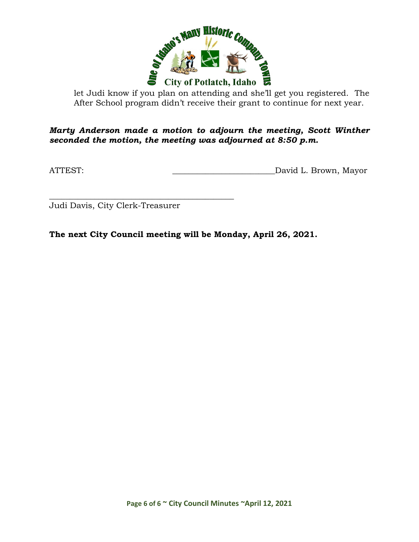

let Judi know if you plan on attending and she'll get you registered. The After School program didn't receive their grant to continue for next year.

*Marty Anderson made a motion to adjourn the meeting, Scott Winther seconded the motion, the meeting was adjourned at 8:50 p.m.*

ATTEST: David L. Brown, Mayor

Judi Davis, City Clerk-Treasurer

\_\_\_\_\_\_\_\_\_\_\_\_\_\_\_\_\_\_\_\_\_\_\_\_\_\_\_\_\_\_\_\_\_\_\_\_\_\_\_\_\_\_\_\_\_

**The next City Council meeting will be Monday, April 26, 2021.**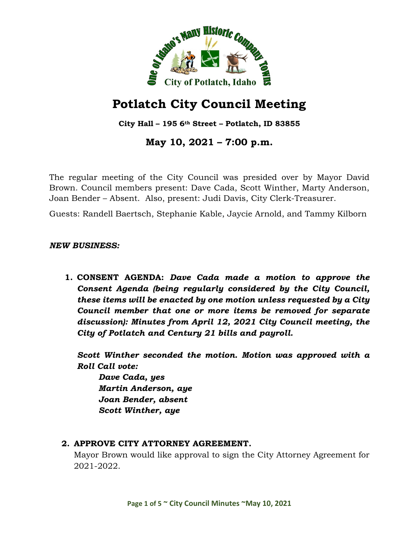

**City Hall – 195 6th Street – Potlatch, ID 83855**

# **May 10, 2021 – 7:00 p.m.**

The regular meeting of the City Council was presided over by Mayor David Brown. Council members present: Dave Cada, Scott Winther, Marty Anderson, Joan Bender – Absent. Also, present: Judi Davis, City Clerk-Treasurer.

Guests: Randell Baertsch, Stephanie Kable, Jaycie Arnold, and Tammy Kilborn

#### *NEW BUSINESS:*

**1. CONSENT AGENDA:** *Dave Cada made a motion to approve the Consent Agenda (being regularly considered by the City Council, these items will be enacted by one motion unless requested by a City Council member that one or more items be removed for separate discussion): Minutes from April 12, 2021 City Council meeting, the City of Potlatch and Century 21 bills and payroll.*

*Scott Winther seconded the motion. Motion was approved with a Roll Call vote:*

*Dave Cada, yes Martin Anderson, aye Joan Bender, absent Scott Winther, aye*

#### **2. APPROVE CITY ATTORNEY AGREEMENT.**

Mayor Brown would like approval to sign the City Attorney Agreement for 2021-2022.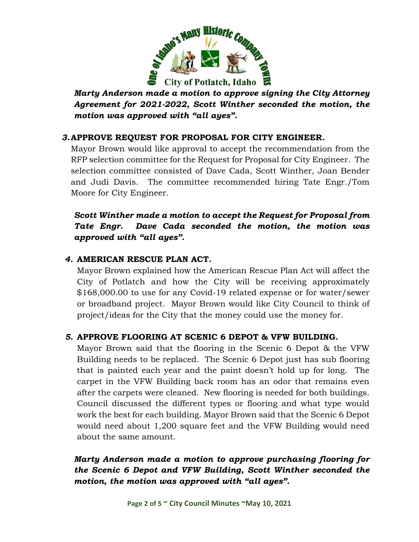

*Marty Anderson made a motion to approve signing the City Attorney Agreement for 2021-2022, Scott Winther seconded the motion, the motion was approved with "all ayes".*

## *3.***APPROVE REQUEST FOR PROPOSAL FOR CITY ENGINEER***.*

Mayor Brown would like approval to accept the recommendation from the RFP selection committee for the Request for Proposal for City Engineer. The selection committee consisted of Dave Cada, Scott Winther, Joan Bender and Judi Davis. The committee recommended hiring Tate Engr./Tom Moore for City Engineer.

*Scott Winther made a motion to accept the Request for Proposal from Tate Engr. Dave Cada seconded the motion, the motion was approved with "all ayes".*

## *4.* **AMERICAN RESCUE PLAN ACT.**

Mayor Brown explained how the American Rescue Plan Act will affect the City of Potlatch and how the City will be receiving approximately \$168,000.00 to use for any Covid-19 related expense or for water/sewer or broadband project. Mayor Brown would like City Council to think of project/ideas for the City that the money could use the money for.

#### *5.* **APPROVE FLOORING AT SCENIC 6 DEPOT & VFW BUILDING.**

Mayor Brown said that the flooring in the Scenic 6 Depot & the VFW Building needs to be replaced. The Scenic 6 Depot just has sub flooring that is painted each year and the paint doesn't hold up for long. The carpet in the VFW Building back room has an odor that remains even after the carpets were cleaned. New flooring is needed for both buildings. Council discussed the different types or flooring and what type would work the best for each building. Mayor Brown said that the Scenic 6 Depot would need about 1,200 square feet and the VFW Building would need about the same amount.

## *Marty Anderson made a motion to approve purchasing flooring for the Scenic 6 Depot and VFW Building, Scott Winther seconded the motion, the motion was approved with "all ayes".*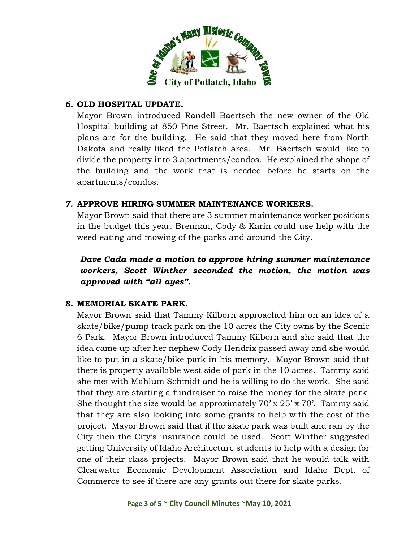

#### *6.* **OLD HOSPITAL UPDATE.**

Mayor Brown introduced Randell Baertsch the new owner of the Old Hospital building at 850 Pine Street. Mr. Baertsch explained what his plans are for the building. He said that they moved here from North Dakota and really liked the Potlatch area. Mr. Baertsch would like to divide the property into 3 apartments/condos. He explained the shape of the building and the work that is needed before he starts on the apartments/condos.

#### *7.* **APPROVE HIRING SUMMER MAINTENANCE WORKERS.**

Mayor Brown said that there are 3 summer maintenance worker positions in the budget this year. Brennan, Cody & Karin could use help with the weed eating and mowing of the parks and around the City.

*Dave Cada made a motion to approve hiring summer maintenance workers, Scott Winther seconded the motion, the motion was approved with "all ayes".*

#### *8.* **MEMORIAL SKATE PARK.**

Mayor Brown said that Tammy Kilborn approached him on an idea of a skate/bike/pump track park on the 10 acres the City owns by the Scenic 6 Park. Mayor Brown introduced Tammy Kilborn and she said that the idea came up after her nephew Cody Hendrix passed away and she would like to put in a skate/bike park in his memory. Mayor Brown said that there is property available west side of park in the 10 acres. Tammy said she met with Mahlum Schmidt and he is willing to do the work. She said that they are starting a fundraiser to raise the money for the skate park. She thought the size would be approximately  $70' \times 25' \times 70'$ . Tammy said that they are also looking into some grants to help with the cost of the project. Mayor Brown said that if the skate park was built and ran by the City then the City's insurance could be used. Scott Winther suggested getting University of Idaho Architecture students to help with a design for one of their class projects. Mayor Brown said that he would talk with Clearwater Economic Development Association and Idaho Dept. of Commerce to see if there are any grants out there for skate parks.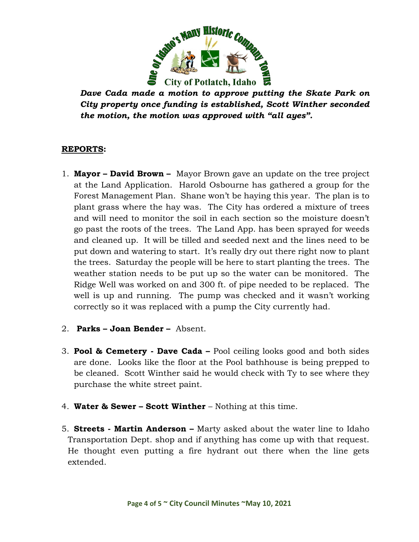

*Dave Cada made a motion to approve putting the Skate Park on City property once funding is established, Scott Winther seconded the motion, the motion was approved with "all ayes".*

#### **REPORTS:**

- 1. **Mayor – David Brown** Mayor Brown gave an update on the tree project at the Land Application. Harold Osbourne has gathered a group for the Forest Management Plan. Shane won't be haying this year. The plan is to plant grass where the hay was. The City has ordered a mixture of trees and will need to monitor the soil in each section so the moisture doesn't go past the roots of the trees. The Land App. has been sprayed for weeds and cleaned up. It will be tilled and seeded next and the lines need to be put down and watering to start. It's really dry out there right now to plant the trees. Saturday the people will be here to start planting the trees. The weather station needs to be put up so the water can be monitored. The Ridge Well was worked on and 300 ft. of pipe needed to be replaced. The well is up and running. The pump was checked and it wasn't working correctly so it was replaced with a pump the City currently had.
- 2. **Parks – Joan Bender –** Absent.
- 3. **Pool & Cemetery - Dave Cada –** Pool ceiling looks good and both sides are done. Looks like the floor at the Pool bathhouse is being prepped to be cleaned. Scott Winther said he would check with Ty to see where they purchase the white street paint.
- 4. **Water & Sewer – Scott Winther** Nothing at this time.
- 5. **Streets - Martin Anderson –** Marty asked about the water line to Idaho Transportation Dept. shop and if anything has come up with that request. He thought even putting a fire hydrant out there when the line gets extended.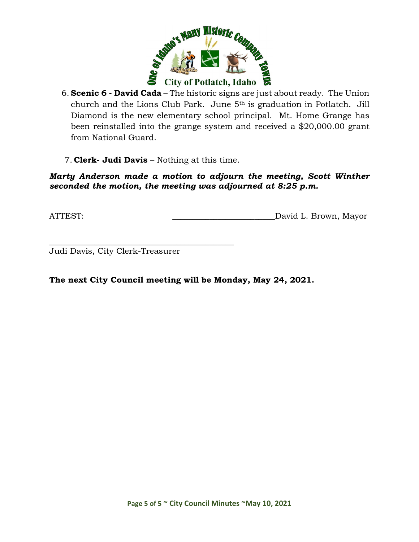

- 6. **Scenic 6 - David Cada** The historic signs are just about ready. The Union church and the Lions Club Park. June 5th is graduation in Potlatch. Jill Diamond is the new elementary school principal. Mt. Home Grange has been reinstalled into the grange system and received a \$20,000.00 grant from National Guard.
- 7. **Clerk- Judi Davis** Nothing at this time.

#### *Marty Anderson made a motion to adjourn the meeting, Scott Winther seconded the motion, the meeting was adjourned at 8:25 p.m.*

ATTEST: David L. Brown, Mayor

Judi Davis, City Clerk-Treasurer

\_\_\_\_\_\_\_\_\_\_\_\_\_\_\_\_\_\_\_\_\_\_\_\_\_\_\_\_\_\_\_\_\_\_\_\_\_\_\_\_\_\_\_\_\_

**The next City Council meeting will be Monday, May 24, 2021.**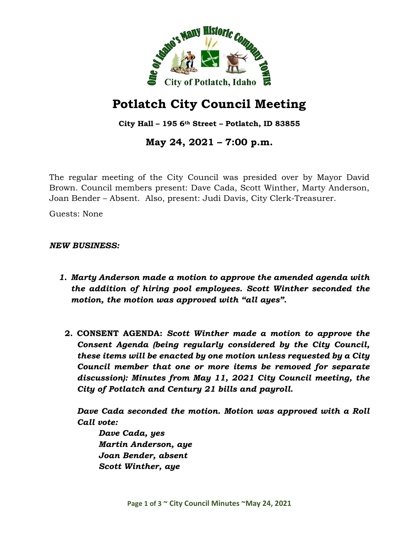

**City Hall – 195 6th Street – Potlatch, ID 83855**

**May 24, 2021 – 7:00 p.m.**

The regular meeting of the City Council was presided over by Mayor David Brown. Council members present: Dave Cada, Scott Winther, Marty Anderson, Joan Bender – Absent. Also, present: Judi Davis, City Clerk-Treasurer.

Guests: None

*NEW BUSINESS:*

- *1. Marty Anderson made a motion to approve the amended agenda with the addition of hiring pool employees. Scott Winther seconded the motion, the motion was approved with "all ayes".*
	- **2. CONSENT AGENDA:** *Scott Winther made a motion to approve the Consent Agenda (being regularly considered by the City Council, these items will be enacted by one motion unless requested by a City Council member that one or more items be removed for separate discussion): Minutes from May 11, 2021 City Council meeting, the City of Potlatch and Century 21 bills and payroll.*

*Dave Cada seconded the motion. Motion was approved with a Roll Call vote:*

*Dave Cada, yes Martin Anderson, aye Joan Bender, absent Scott Winther, aye*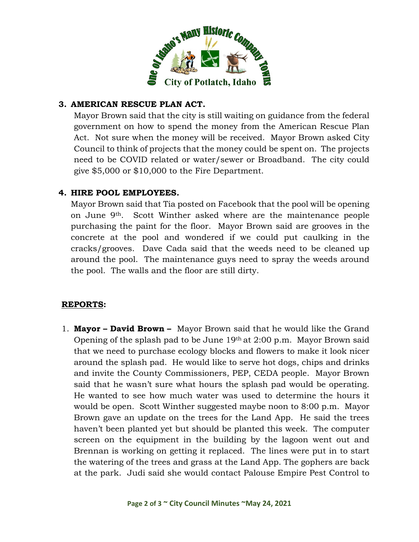

## **3. AMERICAN RESCUE PLAN ACT.**

Mayor Brown said that the city is still waiting on guidance from the federal government on how to spend the money from the American Rescue Plan Act. Not sure when the money will be received. Mayor Brown asked City Council to think of projects that the money could be spent on. The projects need to be COVID related or water/sewer or Broadband. The city could give \$5,000 or \$10,000 to the Fire Department.

#### **4. HIRE POOL EMPLOYEES***.*

Mayor Brown said that Tia posted on Facebook that the pool will be opening on June 9th. Scott Winther asked where are the maintenance people purchasing the paint for the floor. Mayor Brown said are grooves in the concrete at the pool and wondered if we could put caulking in the cracks/grooves. Dave Cada said that the weeds need to be cleaned up around the pool. The maintenance guys need to spray the weeds around the pool. The walls and the floor are still dirty.

#### **REPORTS:**

1. **Mayor – David Brown –** Mayor Brown said that he would like the Grand Opening of the splash pad to be June 19th at 2:00 p.m. Mayor Brown said that we need to purchase ecology blocks and flowers to make it look nicer around the splash pad. He would like to serve hot dogs, chips and drinks and invite the County Commissioners, PEP, CEDA people. Mayor Brown said that he wasn't sure what hours the splash pad would be operating. He wanted to see how much water was used to determine the hours it would be open. Scott Winther suggested maybe noon to 8:00 p.m. Mayor Brown gave an update on the trees for the Land App. He said the trees haven't been planted yet but should be planted this week. The computer screen on the equipment in the building by the lagoon went out and Brennan is working on getting it replaced. The lines were put in to start the watering of the trees and grass at the Land App. The gophers are back at the park. Judi said she would contact Palouse Empire Pest Control to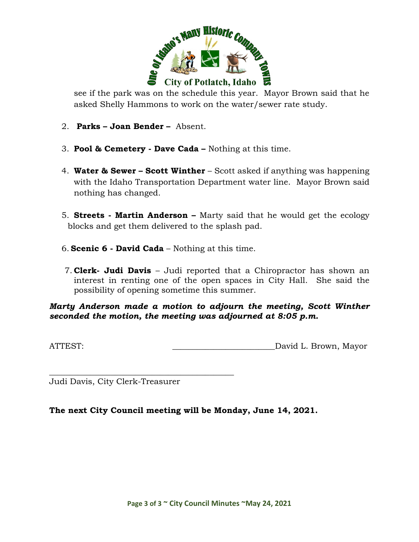

see if the park was on the schedule this year. Mayor Brown said that he asked Shelly Hammons to work on the water/sewer rate study.

- 2. **Parks – Joan Bender –** Absent.
- 3. **Pool & Cemetery - Dave Cada –** Nothing at this time.
- 4. **Water & Sewer – Scott Winther** Scott asked if anything was happening with the Idaho Transportation Department water line. Mayor Brown said nothing has changed.
- 5. **Streets - Martin Anderson –** Marty said that he would get the ecology blocks and get them delivered to the splash pad.
- 6. **Scenic 6 - David Cada** Nothing at this time.
- 7. **Clerk- Judi Davis** Judi reported that a Chiropractor has shown an interest in renting one of the open spaces in City Hall. She said the possibility of opening sometime this summer.

#### *Marty Anderson made a motion to adjourn the meeting, Scott Winther seconded the motion, the meeting was adjourned at 8:05 p.m.*

ATTEST: ATTEST:

\_\_\_\_\_\_\_\_\_\_\_\_\_\_\_\_\_\_\_\_\_\_\_\_\_\_\_\_\_\_\_\_\_\_\_\_\_\_\_\_\_\_\_\_\_ Judi Davis, City Clerk-Treasurer

#### **The next City Council meeting will be Monday, June 14, 2021.**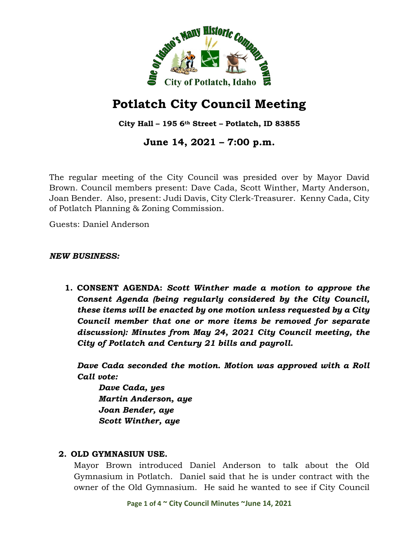

**City Hall – 195 6th Street – Potlatch, ID 83855**

**June 14, 2021 – 7:00 p.m.**

The regular meeting of the City Council was presided over by Mayor David Brown. Council members present: Dave Cada, Scott Winther, Marty Anderson, Joan Bender. Also, present: Judi Davis, City Clerk-Treasurer. Kenny Cada, City of Potlatch Planning & Zoning Commission.

Guests: Daniel Anderson

#### *NEW BUSINESS:*

**1. CONSENT AGENDA:** *Scott Winther made a motion to approve the Consent Agenda (being regularly considered by the City Council, these items will be enacted by one motion unless requested by a City Council member that one or more items be removed for separate discussion): Minutes from May 24, 2021 City Council meeting, the City of Potlatch and Century 21 bills and payroll.*

*Dave Cada seconded the motion. Motion was approved with a Roll Call vote:*

*Dave Cada, yes Martin Anderson, aye Joan Bender, aye Scott Winther, aye*

#### **2. OLD GYMNASIUN USE.**

Mayor Brown introduced Daniel Anderson to talk about the Old Gymnasium in Potlatch. Daniel said that he is under contract with the owner of the Old Gymnasium. He said he wanted to see if City Council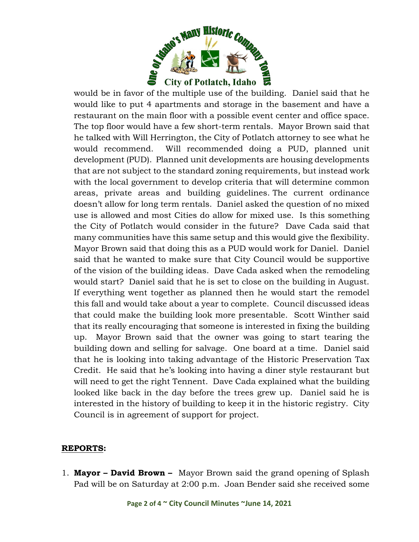

would be in favor of the multiple use of the building. Daniel said that he would like to put 4 apartments and storage in the basement and have a restaurant on the main floor with a possible event center and office space. The top floor would have a few short-term rentals. Mayor Brown said that he talked with Will Herrington, the City of Potlatch attorney to see what he would recommend. Will recommended doing a PUD, planned unit development (PUD). Planned unit developments are housing developments that are not subject to the standard zoning requirements, but instead work with the local government to develop criteria that will determine common areas, private areas and building guidelines. The current ordinance doesn't allow for long term rentals. Daniel asked the question of no mixed use is allowed and most Cities do allow for mixed use. Is this something the City of Potlatch would consider in the future? Dave Cada said that many communities have this same setup and this would give the flexibility. Mayor Brown said that doing this as a PUD would work for Daniel. Daniel said that he wanted to make sure that City Council would be supportive of the vision of the building ideas. Dave Cada asked when the remodeling would start? Daniel said that he is set to close on the building in August. If everything went together as planned then he would start the remodel this fall and would take about a year to complete. Council discussed ideas that could make the building look more presentable. Scott Winther said that its really encouraging that someone is interested in fixing the building up. Mayor Brown said that the owner was going to start tearing the building down and selling for salvage. One board at a time. Daniel said that he is looking into taking advantage of the Historic Preservation Tax Credit. He said that he's looking into having a diner style restaurant but will need to get the right Tennent. Dave Cada explained what the building looked like back in the day before the trees grew up. Daniel said he is interested in the history of building to keep it in the historic registry. City Council is in agreement of support for project.

#### **REPORTS:**

1. **Mayor – David Brown –** Mayor Brown said the grand opening of Splash Pad will be on Saturday at 2:00 p.m. Joan Bender said she received some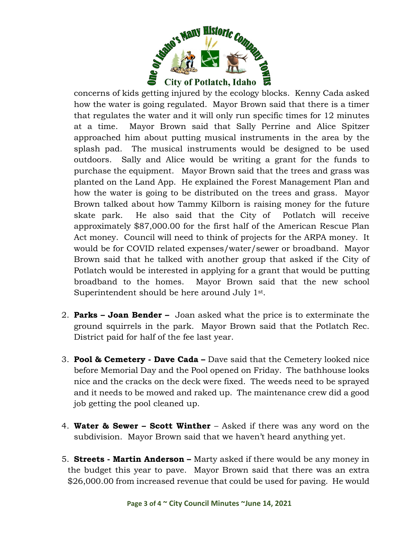

concerns of kids getting injured by the ecology blocks. Kenny Cada asked how the water is going regulated. Mayor Brown said that there is a timer that regulates the water and it will only run specific times for 12 minutes at a time. Mayor Brown said that Sally Perrine and Alice Spitzer approached him about putting musical instruments in the area by the splash pad. The musical instruments would be designed to be used outdoors. Sally and Alice would be writing a grant for the funds to purchase the equipment. Mayor Brown said that the trees and grass was planted on the Land App. He explained the Forest Management Plan and how the water is going to be distributed on the trees and grass. Mayor Brown talked about how Tammy Kilborn is raising money for the future skate park. He also said that the City of Potlatch will receive approximately \$87,000.00 for the first half of the American Rescue Plan Act money. Council will need to think of projects for the ARPA money. It would be for COVID related expenses/water/sewer or broadband. Mayor Brown said that he talked with another group that asked if the City of Potlatch would be interested in applying for a grant that would be putting broadband to the homes. Mayor Brown said that the new school Superintendent should be here around July 1st.

- 2. **Parks – Joan Bender –** Joan asked what the price is to exterminate the ground squirrels in the park. Mayor Brown said that the Potlatch Rec. District paid for half of the fee last year.
- 3. **Pool & Cemetery - Dave Cada –** Dave said that the Cemetery looked nice before Memorial Day and the Pool opened on Friday. The bathhouse looks nice and the cracks on the deck were fixed. The weeds need to be sprayed and it needs to be mowed and raked up. The maintenance crew did a good job getting the pool cleaned up.
- 4. **Water & Sewer – Scott Winther** Asked if there was any word on the subdivision. Mayor Brown said that we haven't heard anything yet.
- 5. **Streets - Martin Anderson –** Marty asked if there would be any money in the budget this year to pave. Mayor Brown said that there was an extra \$26,000.00 from increased revenue that could be used for paving. He would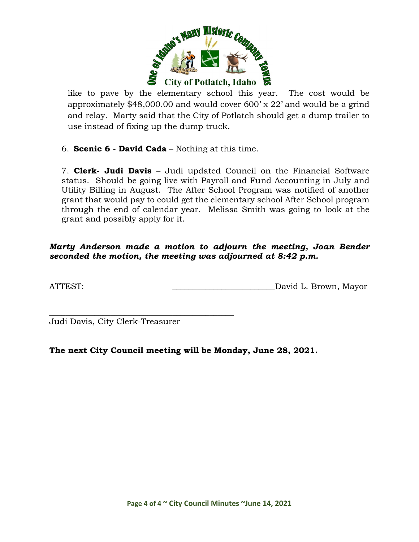

like to pave by the elementary school this year. The cost would be approximately \$48,000.00 and would cover 600' x 22' and would be a grind and relay. Marty said that the City of Potlatch should get a dump trailer to use instead of fixing up the dump truck.

6. **Scenic 6 - David Cada** – Nothing at this time.

7. **Clerk- Judi Davis** – Judi updated Council on the Financial Software status. Should be going live with Payroll and Fund Accounting in July and Utility Billing in August. The After School Program was notified of another grant that would pay to could get the elementary school After School program through the end of calendar year. Melissa Smith was going to look at the grant and possibly apply for it.

*Marty Anderson made a motion to adjourn the meeting, Joan Bender seconded the motion, the meeting was adjourned at 8:42 p.m.*

ATTEST: David L. Brown, Mayor

\_\_\_\_\_\_\_\_\_\_\_\_\_\_\_\_\_\_\_\_\_\_\_\_\_\_\_\_\_\_\_\_\_\_\_\_\_\_\_\_\_\_\_\_\_ Judi Davis, City Clerk-Treasurer

**The next City Council meeting will be Monday, June 28, 2021.**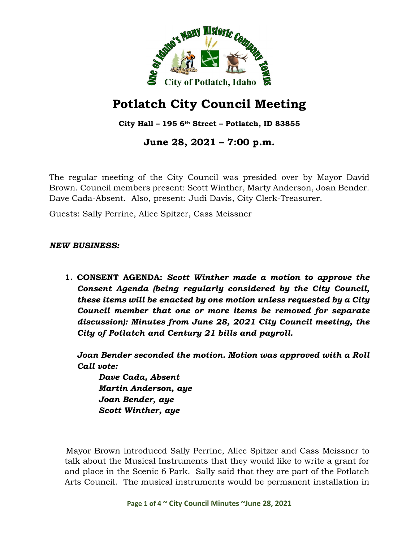

**City Hall – 195 6th Street – Potlatch, ID 83855**

**June 28, 2021 – 7:00 p.m.**

The regular meeting of the City Council was presided over by Mayor David Brown. Council members present: Scott Winther, Marty Anderson, Joan Bender. Dave Cada-Absent. Also, present: Judi Davis, City Clerk-Treasurer.

Guests: Sally Perrine, Alice Spitzer, Cass Meissner

*NEW BUSINESS:*

**1. CONSENT AGENDA:** *Scott Winther made a motion to approve the Consent Agenda (being regularly considered by the City Council, these items will be enacted by one motion unless requested by a City Council member that one or more items be removed for separate discussion): Minutes from June 28, 2021 City Council meeting, the City of Potlatch and Century 21 bills and payroll.*

*Joan Bender seconded the motion. Motion was approved with a Roll Call vote:*

*Dave Cada, Absent Martin Anderson, aye Joan Bender, aye Scott Winther, aye*

Mayor Brown introduced Sally Perrine, Alice Spitzer and Cass Meissner to talk about the Musical Instruments that they would like to write a grant for and place in the Scenic 6 Park. Sally said that they are part of the Potlatch Arts Council. The musical instruments would be permanent installation in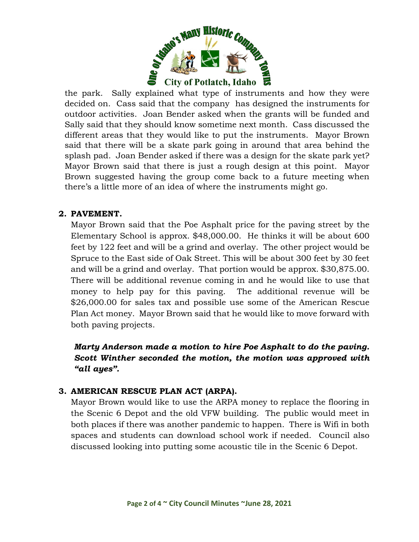

the park. Sally explained what type of instruments and how they were decided on. Cass said that the company has designed the instruments for outdoor activities. Joan Bender asked when the grants will be funded and Sally said that they should know sometime next month. Cass discussed the different areas that they would like to put the instruments. Mayor Brown said that there will be a skate park going in around that area behind the splash pad. Joan Bender asked if there was a design for the skate park yet? Mayor Brown said that there is just a rough design at this point. Mayor Brown suggested having the group come back to a future meeting when there's a little more of an idea of where the instruments might go.

### **2. PAVEMENT.**

Mayor Brown said that the Poe Asphalt price for the paving street by the Elementary School is approx. \$48,000.00. He thinks it will be about 600 feet by 122 feet and will be a grind and overlay. The other project would be Spruce to the East side of Oak Street. This will be about 300 feet by 30 feet and will be a grind and overlay. That portion would be approx. \$30,875.00. There will be additional revenue coming in and he would like to use that money to help pay for this paving. The additional revenue will be \$26,000.00 for sales tax and possible use some of the American Rescue Plan Act money. Mayor Brown said that he would like to move forward with both paving projects.

*Marty Anderson made a motion to hire Poe Asphalt to do the paving. Scott Winther seconded the motion, the motion was approved with "all ayes".*

#### **3. AMERICAN RESCUE PLAN ACT (ARPA).**

Mayor Brown would like to use the ARPA money to replace the flooring in the Scenic 6 Depot and the old VFW building. The public would meet in both places if there was another pandemic to happen. There is Wifi in both spaces and students can download school work if needed. Council also discussed looking into putting some acoustic tile in the Scenic 6 Depot.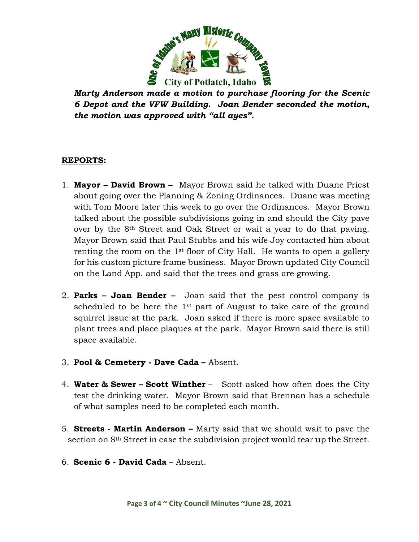

*Marty Anderson made a motion to purchase flooring for the Scenic 6 Depot and the VFW Building. Joan Bender seconded the motion, the motion was approved with "all ayes".*

#### **REPORTS:**

- 1. **Mayor – David Brown** Mayor Brown said he talked with Duane Priest about going over the Planning & Zoning Ordinances. Duane was meeting with Tom Moore later this week to go over the Ordinances. Mayor Brown talked about the possible subdivisions going in and should the City pave over by the 8th Street and Oak Street or wait a year to do that paving. Mayor Brown said that Paul Stubbs and his wife Joy contacted him about renting the room on the  $1<sup>st</sup>$  floor of City Hall. He wants to open a gallery for his custom picture frame business. Mayor Brown updated City Council on the Land App. and said that the trees and grass are growing.
- 2. **Parks – Joan Bender –** Joan said that the pest control company is scheduled to be here the 1<sup>st</sup> part of August to take care of the ground squirrel issue at the park. Joan asked if there is more space available to plant trees and place plaques at the park. Mayor Brown said there is still space available.
- 3. **Pool & Cemetery - Dave Cada –** Absent.
- 4. **Water & Sewer – Scott Winther** Scott asked how often does the City test the drinking water. Mayor Brown said that Brennan has a schedule of what samples need to be completed each month.
- 5. **Streets - Martin Anderson –** Marty said that we should wait to pave the section on 8<sup>th</sup> Street in case the subdivision project would tear up the Street.
- 6. **Scenic 6 - David Cada** Absent.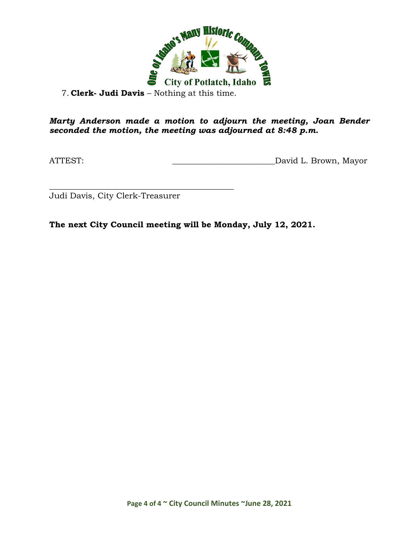

7. **Clerk- Judi Davis** – Nothing at this time.

### *Marty Anderson made a motion to adjourn the meeting, Joan Bender seconded the motion, the meeting was adjourned at 8:48 p.m.*

ATTEST: ATTEST: AND AND AND ALL Brown, Mayor

\_\_\_\_\_\_\_\_\_\_\_\_\_\_\_\_\_\_\_\_\_\_\_\_\_\_\_\_\_\_\_\_\_\_\_\_\_\_\_\_\_\_\_\_\_ Judi Davis, City Clerk-Treasurer

**The next City Council meeting will be Monday, July 12, 2021.**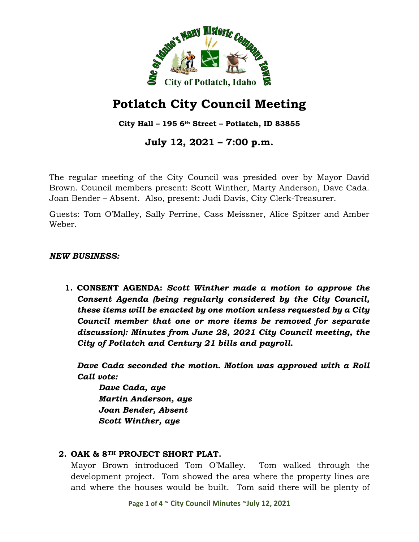

**City Hall – 195 6th Street – Potlatch, ID 83855**

# **July 12, 2021 – 7:00 p.m.**

The regular meeting of the City Council was presided over by Mayor David Brown. Council members present: Scott Winther, Marty Anderson, Dave Cada. Joan Bender – Absent. Also, present: Judi Davis, City Clerk-Treasurer.

Guests: Tom O'Malley, Sally Perrine, Cass Meissner, Alice Spitzer and Amber Weber.

#### *NEW BUSINESS:*

**1. CONSENT AGENDA:** *Scott Winther made a motion to approve the Consent Agenda (being regularly considered by the City Council, these items will be enacted by one motion unless requested by a City Council member that one or more items be removed for separate discussion): Minutes from June 28, 2021 City Council meeting, the City of Potlatch and Century 21 bills and payroll.*

*Dave Cada seconded the motion. Motion was approved with a Roll Call vote:*

*Dave Cada, aye Martin Anderson, aye Joan Bender, Absent Scott Winther, aye*

### **2. OAK & 8TH PROJECT SHORT PLAT.**

Mayor Brown introduced Tom O'Malley. Tom walked through the development project. Tom showed the area where the property lines are and where the houses would be built. Tom said there will be plenty of

**Page 1 of 4 ~ City Council Minutes ~July 12, 2021**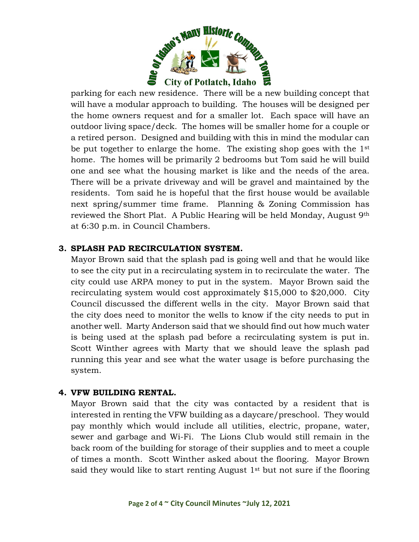

parking for each new residence. There will be a new building concept that will have a modular approach to building. The houses will be designed per the home owners request and for a smaller lot. Each space will have an outdoor living space/deck. The homes will be smaller home for a couple or a retired person. Designed and building with this in mind the modular can be put together to enlarge the home. The existing shop goes with the 1st home. The homes will be primarily 2 bedrooms but Tom said he will build one and see what the housing market is like and the needs of the area. There will be a private driveway and will be gravel and maintained by the residents. Tom said he is hopeful that the first house would be available next spring/summer time frame. Planning & Zoning Commission has reviewed the Short Plat. A Public Hearing will be held Monday, August 9th at 6:30 p.m. in Council Chambers.

## **3. SPLASH PAD RECIRCULATION SYSTEM.**

Mayor Brown said that the splash pad is going well and that he would like to see the city put in a recirculating system in to recirculate the water. The city could use ARPA money to put in the system. Mayor Brown said the recirculating system would cost approximately \$15,000 to \$20,000. City Council discussed the different wells in the city. Mayor Brown said that the city does need to monitor the wells to know if the city needs to put in another well. Marty Anderson said that we should find out how much water is being used at the splash pad before a recirculating system is put in. Scott Winther agrees with Marty that we should leave the splash pad running this year and see what the water usage is before purchasing the system.

#### **4. VFW BUILDING RENTAL.**

Mayor Brown said that the city was contacted by a resident that is interested in renting the VFW building as a daycare/preschool. They would pay monthly which would include all utilities, electric, propane, water, sewer and garbage and Wi-Fi. The Lions Club would still remain in the back room of the building for storage of their supplies and to meet a couple of times a month. Scott Winther asked about the flooring. Mayor Brown said they would like to start renting August  $1<sup>st</sup>$  but not sure if the flooring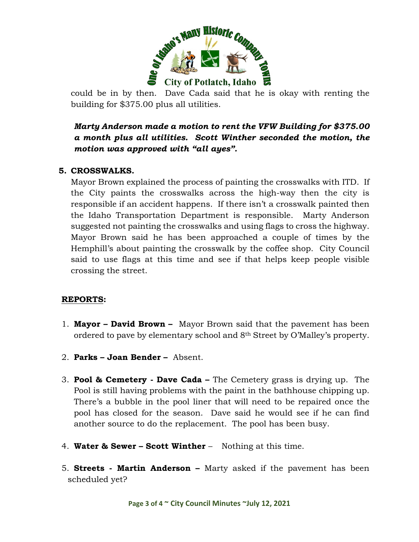

could be in by then. Dave Cada said that he is okay with renting the building for \$375.00 plus all utilities.

# *Marty Anderson made a motion to rent the VFW Building for \$375.00 a month plus all utilities. Scott Winther seconded the motion, the motion was approved with "all ayes".*

#### **5. CROSSWALKS.**

Mayor Brown explained the process of painting the crosswalks with ITD. If the City paints the crosswalks across the high-way then the city is responsible if an accident happens. If there isn't a crosswalk painted then the Idaho Transportation Department is responsible. Marty Anderson suggested not painting the crosswalks and using flags to cross the highway. Mayor Brown said he has been approached a couple of times by the Hemphill's about painting the crosswalk by the coffee shop. City Council said to use flags at this time and see if that helps keep people visible crossing the street.

### **REPORTS:**

- 1. **Mayor – David Brown** Mayor Brown said that the pavement has been ordered to pave by elementary school and 8th Street by O'Malley's property.
- 2. **Parks – Joan Bender –** Absent.
- 3. **Pool & Cemetery - Dave Cada –** The Cemetery grass is drying up. The Pool is still having problems with the paint in the bathhouse chipping up. There's a bubble in the pool liner that will need to be repaired once the pool has closed for the season. Dave said he would see if he can find another source to do the replacement. The pool has been busy.
- 4. **Water & Sewer – Scott Winther** Nothing at this time.
- 5. **Streets - Martin Anderson –** Marty asked if the pavement has been scheduled yet?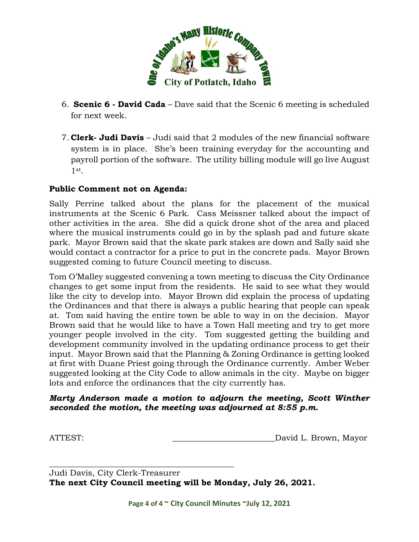

- 6. **Scenic 6 - David Cada** Dave said that the Scenic 6 meeting is scheduled for next week.
- 7. **Clerk- Judi Davis** Judi said that 2 modules of the new financial software system is in place. She's been training everyday for the accounting and payroll portion of the software. The utility billing module will go live August  $1$ st.

### **Public Comment not on Agenda:**

Sally Perrine talked about the plans for the placement of the musical instruments at the Scenic 6 Park. Cass Meissner talked about the impact of other activities in the area. She did a quick drone shot of the area and placed where the musical instruments could go in by the splash pad and future skate park. Mayor Brown said that the skate park stakes are down and Sally said she would contact a contractor for a price to put in the concrete pads. Mayor Brown suggested coming to future Council meeting to discuss.

Tom O'Malley suggested convening a town meeting to discuss the City Ordinance changes to get some input from the residents. He said to see what they would like the city to develop into. Mayor Brown did explain the process of updating the Ordinances and that there is always a public hearing that people can speak at. Tom said having the entire town be able to way in on the decision. Mayor Brown said that he would like to have a Town Hall meeting and try to get more younger people involved in the city. Tom suggested getting the building and development community involved in the updating ordinance process to get their input. Mayor Brown said that the Planning & Zoning Ordinance is getting looked at first with Duane Priest going through the Ordinance currently. Amber Weber suggested looking at the City Code to allow animals in the city. Maybe on bigger lots and enforce the ordinances that the city currently has.

#### *Marty Anderson made a motion to adjourn the meeting, Scott Winther seconded the motion, the meeting was adjourned at 8:55 p.m.*

ATTEST:  $\qquad \qquad$  ATTEST:

\_\_\_\_\_\_\_\_\_\_\_\_\_\_\_\_\_\_\_\_\_\_\_\_\_\_\_\_\_\_\_\_\_\_\_\_\_\_\_\_\_\_\_\_\_ Judi Davis, City Clerk-Treasurer **The next City Council meeting will be Monday, July 26, 2021.**

**Page 4 of 4 ~ City Council Minutes ~July 12, 2021**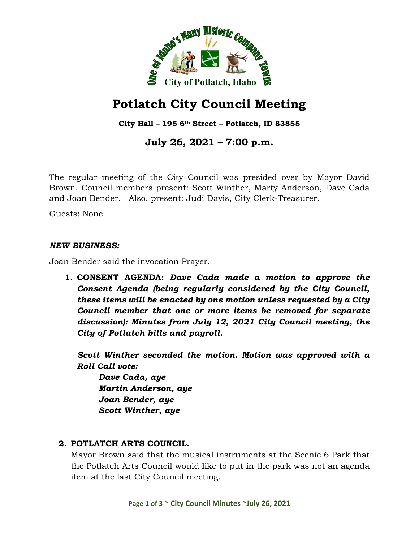

**City Hall – 195 6th Street – Potlatch, ID 83855**

**July 26, 2021 – 7:00 p.m.**

The regular meeting of the City Council was presided over by Mayor David Brown. Council members present: Scott Winther, Marty Anderson, Dave Cada and Joan Bender. Also, present: Judi Davis, City Clerk-Treasurer.

Guests: None

#### *NEW BUSINESS:*

Joan Bender said the invocation Prayer.

**1. CONSENT AGENDA:** *Dave Cada made a motion to approve the Consent Agenda (being regularly considered by the City Council, these items will be enacted by one motion unless requested by a City Council member that one or more items be removed for separate discussion): Minutes from July 12, 2021 City Council meeting, the City of Potlatch bills and payroll.*

*Scott Winther seconded the motion. Motion was approved with a Roll Call vote:*

*Dave Cada, aye Martin Anderson, aye Joan Bender, aye Scott Winther, aye*

### **2. POTLATCH ARTS COUNCIL.**

Mayor Brown said that the musical instruments at the Scenic 6 Park that the Potlatch Arts Council would like to put in the park was not an agenda item at the last City Council meeting.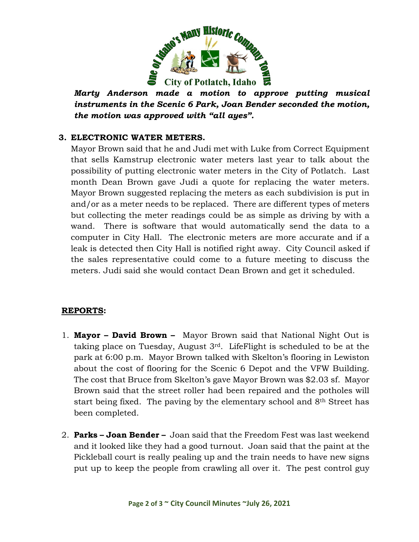

*Marty Anderson made a motion to approve putting musical instruments in the Scenic 6 Park, Joan Bender seconded the motion, the motion was approved with "all ayes".*

### **3. ELECTRONIC WATER METERS.**

Mayor Brown said that he and Judi met with Luke from Correct Equipment that sells Kamstrup electronic water meters last year to talk about the possibility of putting electronic water meters in the City of Potlatch. Last month Dean Brown gave Judi a quote for replacing the water meters. Mayor Brown suggested replacing the meters as each subdivision is put in and/or as a meter needs to be replaced. There are different types of meters but collecting the meter readings could be as simple as driving by with a wand. There is software that would automatically send the data to a computer in City Hall. The electronic meters are more accurate and if a leak is detected then City Hall is notified right away. City Council asked if the sales representative could come to a future meeting to discuss the meters. Judi said she would contact Dean Brown and get it scheduled.

#### **REPORTS:**

- 1. **Mayor – David Brown** Mayor Brown said that National Night Out is taking place on Tuesday, August 3rd. LifeFlight is scheduled to be at the park at 6:00 p.m. Mayor Brown talked with Skelton's flooring in Lewiston about the cost of flooring for the Scenic 6 Depot and the VFW Building. The cost that Bruce from Skelton's gave Mayor Brown was \$2.03 sf. Mayor Brown said that the street roller had been repaired and the potholes will start being fixed. The paving by the elementary school and 8th Street has been completed.
- 2. **Parks – Joan Bender –** Joan said that the Freedom Fest was last weekend and it looked like they had a good turnout. Joan said that the paint at the Pickleball court is really pealing up and the train needs to have new signs put up to keep the people from crawling all over it. The pest control guy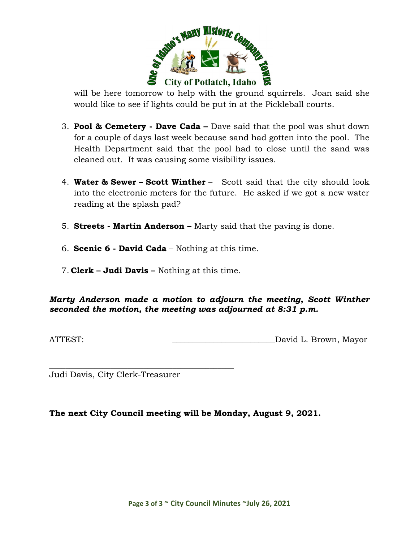

will be here tomorrow to help with the ground squirrels. Joan said she would like to see if lights could be put in at the Pickleball courts.

- 3. **Pool & Cemetery - Dave Cada –** Dave said that the pool was shut down for a couple of days last week because sand had gotten into the pool. The Health Department said that the pool had to close until the sand was cleaned out. It was causing some visibility issues.
- 4. **Water & Sewer – Scott Winther** Scott said that the city should look into the electronic meters for the future. He asked if we got a new water reading at the splash pad?
- 5. **Streets - Martin Anderson –** Marty said that the paving is done.
- 6. **Scenic 6 - David Cada** Nothing at this time.
- 7. **Clerk – Judi Davis –** Nothing at this time.

### *Marty Anderson made a motion to adjourn the meeting, Scott Winther seconded the motion, the meeting was adjourned at 8:31 p.m.*

ATTEST:  $\qquad \qquad$  David L. Brown, Mayor

\_\_\_\_\_\_\_\_\_\_\_\_\_\_\_\_\_\_\_\_\_\_\_\_\_\_\_\_\_\_\_\_\_\_\_\_\_\_\_\_\_\_\_\_\_ Judi Davis, City Clerk-Treasurer

**The next City Council meeting will be Monday, August 9, 2021.**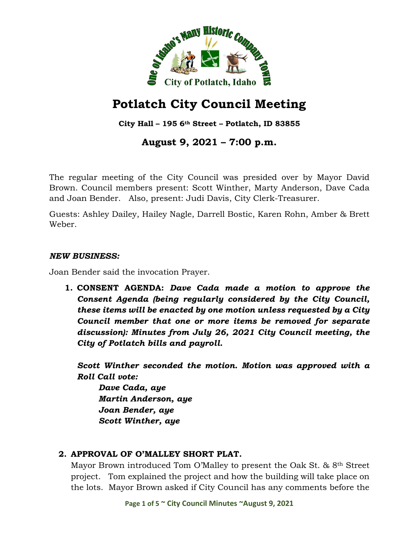

**City Hall – 195 6th Street – Potlatch, ID 83855**

# **August 9, 2021 – 7:00 p.m.**

The regular meeting of the City Council was presided over by Mayor David Brown. Council members present: Scott Winther, Marty Anderson, Dave Cada and Joan Bender. Also, present: Judi Davis, City Clerk-Treasurer.

Guests: Ashley Dailey, Hailey Nagle, Darrell Bostic, Karen Rohn, Amber & Brett Weber.

#### *NEW BUSINESS:*

Joan Bender said the invocation Prayer.

**1. CONSENT AGENDA:** *Dave Cada made a motion to approve the Consent Agenda (being regularly considered by the City Council, these items will be enacted by one motion unless requested by a City Council member that one or more items be removed for separate discussion): Minutes from July 26, 2021 City Council meeting, the City of Potlatch bills and payroll.*

*Scott Winther seconded the motion. Motion was approved with a Roll Call vote:*

*Dave Cada, aye Martin Anderson, aye Joan Bender, aye Scott Winther, aye*

### **2. APPROVAL OF O'MALLEY SHORT PLAT.**

Mayor Brown introduced Tom O'Malley to present the Oak St. & 8th Street project. Tom explained the project and how the building will take place on the lots. Mayor Brown asked if City Council has any comments before the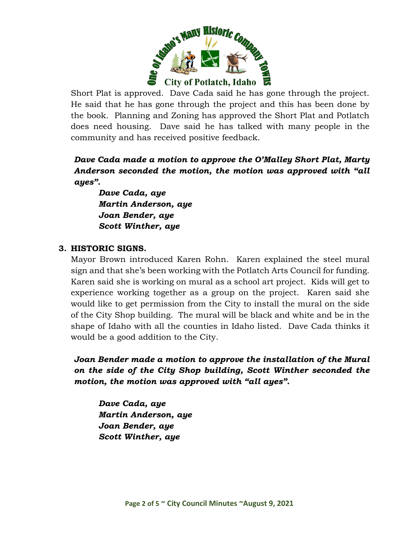

Short Plat is approved. Dave Cada said he has gone through the project. He said that he has gone through the project and this has been done by the book. Planning and Zoning has approved the Short Plat and Potlatch does need housing. Dave said he has talked with many people in the community and has received positive feedback.

*Dave Cada made a motion to approve the O'Malley Short Plat, Marty Anderson seconded the motion, the motion was approved with "all ayes".*

*Dave Cada, aye Martin Anderson, aye Joan Bender, aye Scott Winther, aye*

### **3. HISTORIC SIGNS.**

Mayor Brown introduced Karen Rohn. Karen explained the steel mural sign and that she's been working with the Potlatch Arts Council for funding. Karen said she is working on mural as a school art project. Kids will get to experience working together as a group on the project. Karen said she would like to get permission from the City to install the mural on the side of the City Shop building. The mural will be black and white and be in the shape of Idaho with all the counties in Idaho listed. Dave Cada thinks it would be a good addition to the City.

*Joan Bender made a motion to approve the installation of the Mural on the side of the City Shop building, Scott Winther seconded the motion, the motion was approved with "all ayes".*

*Dave Cada, aye Martin Anderson, aye Joan Bender, aye Scott Winther, aye*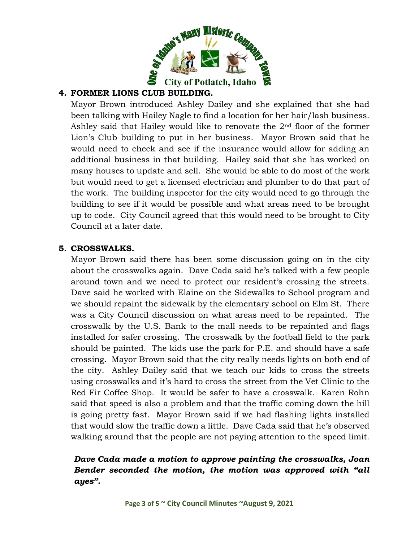

## **4. FORMER LIONS CLUB BUILDING.**

Mayor Brown introduced Ashley Dailey and she explained that she had been talking with Hailey Nagle to find a location for her hair/lash business. Ashley said that Hailey would like to renovate the 2nd floor of the former Lion's Club building to put in her business. Mayor Brown said that he would need to check and see if the insurance would allow for adding an additional business in that building. Hailey said that she has worked on many houses to update and sell. She would be able to do most of the work but would need to get a licensed electrician and plumber to do that part of the work. The building inspector for the city would need to go through the building to see if it would be possible and what areas need to be brought up to code. City Council agreed that this would need to be brought to City Council at a later date.

### **5. CROSSWALKS.**

Mayor Brown said there has been some discussion going on in the city about the crosswalks again. Dave Cada said he's talked with a few people around town and we need to protect our resident's crossing the streets. Dave said he worked with Elaine on the Sidewalks to School program and we should repaint the sidewalk by the elementary school on Elm St. There was a City Council discussion on what areas need to be repainted. The crosswalk by the U.S. Bank to the mall needs to be repainted and flags installed for safer crossing. The crosswalk by the football field to the park should be painted. The kids use the park for P.E. and should have a safe crossing. Mayor Brown said that the city really needs lights on both end of the city. Ashley Dailey said that we teach our kids to cross the streets using crosswalks and it's hard to cross the street from the Vet Clinic to the Red Fir Coffee Shop. It would be safer to have a crosswalk. Karen Rohn said that speed is also a problem and that the traffic coming down the hill is going pretty fast. Mayor Brown said if we had flashing lights installed that would slow the traffic down a little. Dave Cada said that he's observed walking around that the people are not paying attention to the speed limit.

# *Dave Cada made a motion to approve painting the crosswalks, Joan Bender seconded the motion, the motion was approved with "all ayes".*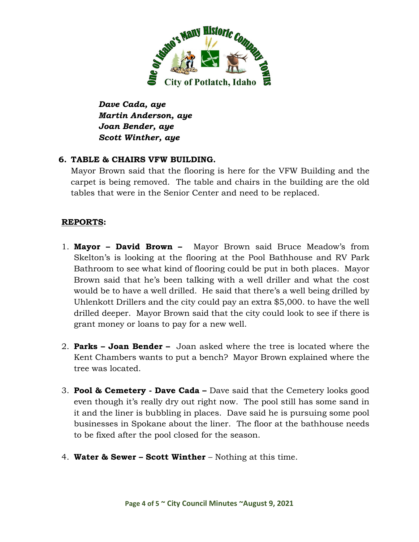

*Dave Cada, aye Martin Anderson, aye Joan Bender, aye Scott Winther, aye*

## **6. TABLE & CHAIRS VFW BUILDING.**

Mayor Brown said that the flooring is here for the VFW Building and the carpet is being removed. The table and chairs in the building are the old tables that were in the Senior Center and need to be replaced.

## **REPORTS:**

- 1. **Mayor – David Brown** Mayor Brown said Bruce Meadow's from Skelton's is looking at the flooring at the Pool Bathhouse and RV Park Bathroom to see what kind of flooring could be put in both places. Mayor Brown said that he's been talking with a well driller and what the cost would be to have a well drilled. He said that there's a well being drilled by Uhlenkott Drillers and the city could pay an extra \$5,000. to have the well drilled deeper. Mayor Brown said that the city could look to see if there is grant money or loans to pay for a new well.
- 2. **Parks – Joan Bender –** Joan asked where the tree is located where the Kent Chambers wants to put a bench? Mayor Brown explained where the tree was located.
- 3. **Pool & Cemetery - Dave Cada –** Dave said that the Cemetery looks good even though it's really dry out right now. The pool still has some sand in it and the liner is bubbling in places. Dave said he is pursuing some pool businesses in Spokane about the liner. The floor at the bathhouse needs to be fixed after the pool closed for the season.
- 4. **Water & Sewer – Scott Winther** Nothing at this time.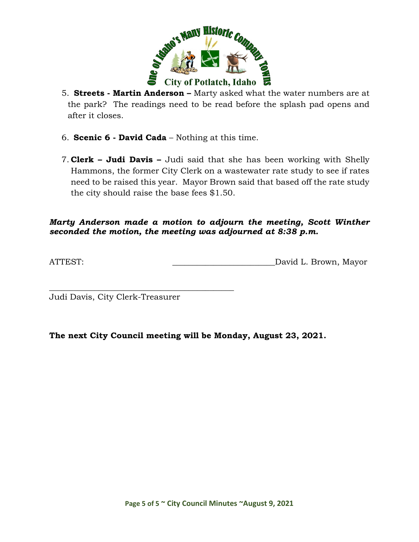

5. **Streets - Martin Anderson –** Marty asked what the water numbers are at the park? The readings need to be read before the splash pad opens and after it closes.

- 6. **Scenic 6 - David Cada** Nothing at this time.
- 7. **Clerk – Judi Davis –** Judi said that she has been working with Shelly Hammons, the former City Clerk on a wastewater rate study to see if rates need to be raised this year. Mayor Brown said that based off the rate study the city should raise the base fees \$1.50.

#### *Marty Anderson made a motion to adjourn the meeting, Scott Winther seconded the motion, the meeting was adjourned at 8:38 p.m.*

ATTEST: \_\_\_\_\_\_\_\_\_\_\_\_\_\_\_\_\_\_\_\_\_\_\_\_\_David L. Brown, Mayor

Judi Davis, City Clerk-Treasurer

\_\_\_\_\_\_\_\_\_\_\_\_\_\_\_\_\_\_\_\_\_\_\_\_\_\_\_\_\_\_\_\_\_\_\_\_\_\_\_\_\_\_\_\_\_

**The next City Council meeting will be Monday, August 23, 2021.**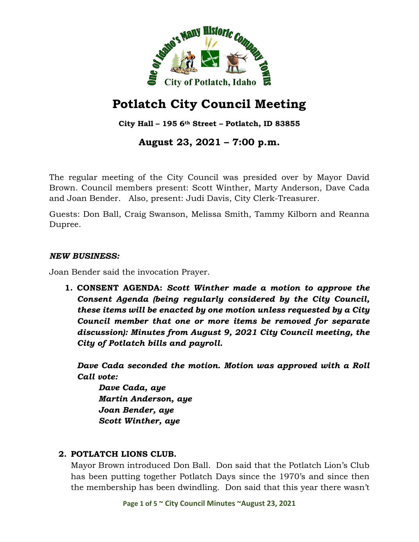

**City Hall – 195 6th Street – Potlatch, ID 83855**

# **August 23, 2021 – 7:00 p.m.**

The regular meeting of the City Council was presided over by Mayor David Brown. Council members present: Scott Winther, Marty Anderson, Dave Cada and Joan Bender. Also, present: Judi Davis, City Clerk-Treasurer.

Guests: Don Ball, Craig Swanson, Melissa Smith, Tammy Kilborn and Reanna Dupree.

#### *NEW BUSINESS:*

Joan Bender said the invocation Prayer.

**1. CONSENT AGENDA:** *Scott Winther made a motion to approve the Consent Agenda (being regularly considered by the City Council, these items will be enacted by one motion unless requested by a City Council member that one or more items be removed for separate discussion): Minutes from August 9, 2021 City Council meeting, the City of Potlatch bills and payroll.*

*Dave Cada seconded the motion. Motion was approved with a Roll Call vote:*

*Dave Cada, aye Martin Anderson, aye Joan Bender, aye Scott Winther, aye*

### **2. POTLATCH LIONS CLUB.**

Mayor Brown introduced Don Ball. Don said that the Potlatch Lion's Club has been putting together Potlatch Days since the 1970's and since then the membership has been dwindling. Don said that this year there wasn't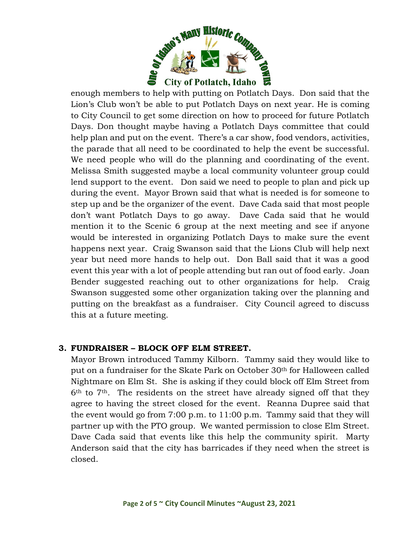

enough members to help with putting on Potlatch Days. Don said that the Lion's Club won't be able to put Potlatch Days on next year. He is coming to City Council to get some direction on how to proceed for future Potlatch Days. Don thought maybe having a Potlatch Days committee that could help plan and put on the event. There's a car show, food vendors, activities, the parade that all need to be coordinated to help the event be successful. We need people who will do the planning and coordinating of the event. Melissa Smith suggested maybe a local community volunteer group could lend support to the event. Don said we need to people to plan and pick up during the event. Mayor Brown said that what is needed is for someone to step up and be the organizer of the event. Dave Cada said that most people don't want Potlatch Days to go away. Dave Cada said that he would mention it to the Scenic 6 group at the next meeting and see if anyone would be interested in organizing Potlatch Days to make sure the event happens next year. Craig Swanson said that the Lions Club will help next year but need more hands to help out. Don Ball said that it was a good event this year with a lot of people attending but ran out of food early. Joan Bender suggested reaching out to other organizations for help. Craig Swanson suggested some other organization taking over the planning and putting on the breakfast as a fundraiser. City Council agreed to discuss this at a future meeting.

### **3. FUNDRAISER – BLOCK OFF ELM STREET.**

Mayor Brown introduced Tammy Kilborn. Tammy said they would like to put on a fundraiser for the Skate Park on October 30th for Halloween called Nightmare on Elm St. She is asking if they could block off Elm Street from  $6<sup>th</sup>$  to  $7<sup>th</sup>$ . The residents on the street have already signed off that they agree to having the street closed for the event. Reanna Dupree said that the event would go from 7:00 p.m. to 11:00 p.m. Tammy said that they will partner up with the PTO group. We wanted permission to close Elm Street. Dave Cada said that events like this help the community spirit. Marty Anderson said that the city has barricades if they need when the street is closed.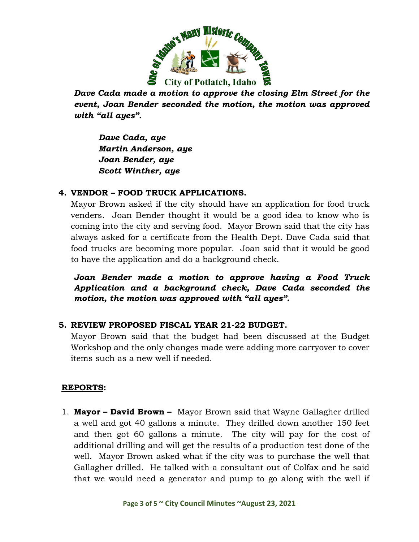

*Dave Cada made a motion to approve the closing Elm Street for the event, Joan Bender seconded the motion, the motion was approved with "all ayes".*

*Dave Cada, aye Martin Anderson, aye Joan Bender, aye Scott Winther, aye*

## **4. VENDOR – FOOD TRUCK APPLICATIONS.**

Mayor Brown asked if the city should have an application for food truck venders. Joan Bender thought it would be a good idea to know who is coming into the city and serving food. Mayor Brown said that the city has always asked for a certificate from the Health Dept. Dave Cada said that food trucks are becoming more popular. Joan said that it would be good to have the application and do a background check.

*Joan Bender made a motion to approve having a Food Truck Application and a background check, Dave Cada seconded the motion, the motion was approved with "all ayes".*

### **5. REVIEW PROPOSED FISCAL YEAR 21-22 BUDGET.**

Mayor Brown said that the budget had been discussed at the Budget Workshop and the only changes made were adding more carryover to cover items such as a new well if needed.

### **REPORTS:**

1. **Mayor – David Brown –** Mayor Brown said that Wayne Gallagher drilled a well and got 40 gallons a minute. They drilled down another 150 feet and then got 60 gallons a minute. The city will pay for the cost of additional drilling and will get the results of a production test done of the well. Mayor Brown asked what if the city was to purchase the well that Gallagher drilled. He talked with a consultant out of Colfax and he said that we would need a generator and pump to go along with the well if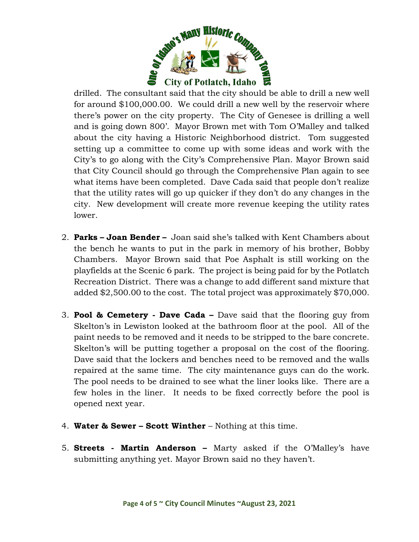

drilled. The consultant said that the city should be able to drill a new well for around \$100,000.00. We could drill a new well by the reservoir where there's power on the city property. The City of Genesee is drilling a well and is going down 800'. Mayor Brown met with Tom O'Malley and talked about the city having a Historic Neighborhood district. Tom suggested setting up a committee to come up with some ideas and work with the City's to go along with the City's Comprehensive Plan. Mayor Brown said that City Council should go through the Comprehensive Plan again to see what items have been completed. Dave Cada said that people don't realize that the utility rates will go up quicker if they don't do any changes in the city. New development will create more revenue keeping the utility rates lower.

- 2. **Parks – Joan Bender –** Joan said she's talked with Kent Chambers about the bench he wants to put in the park in memory of his brother, Bobby Chambers. Mayor Brown said that Poe Asphalt is still working on the playfields at the Scenic 6 park. The project is being paid for by the Potlatch Recreation District. There was a change to add different sand mixture that added \$2,500.00 to the cost. The total project was approximately \$70,000.
- 3. **Pool & Cemetery - Dave Cada –** Dave said that the flooring guy from Skelton's in Lewiston looked at the bathroom floor at the pool. All of the paint needs to be removed and it needs to be stripped to the bare concrete. Skelton's will be putting together a proposal on the cost of the flooring. Dave said that the lockers and benches need to be removed and the walls repaired at the same time. The city maintenance guys can do the work. The pool needs to be drained to see what the liner looks like. There are a few holes in the liner. It needs to be fixed correctly before the pool is opened next year.
- 4. **Water & Sewer – Scott Winther** Nothing at this time.
- 5. **Streets - Martin Anderson –** Marty asked if the O'Malley's have submitting anything yet. Mayor Brown said no they haven't.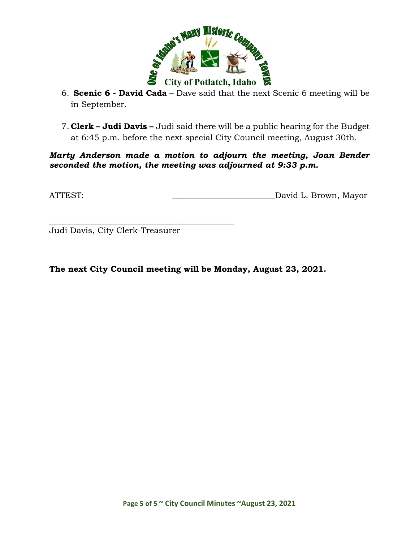

- 6. **Scenic 6 - David Cada** Dave said that the next Scenic 6 meeting will be in September.
- 7. **Clerk – Judi Davis –** Judi said there will be a public hearing for the Budget at 6:45 p.m. before the next special City Council meeting, August 30th.

*Marty Anderson made a motion to adjourn the meeting, Joan Bender seconded the motion, the meeting was adjourned at 9:33 p.m.*

ATTEST: ATTEST: AND AND ALL DAVID L. Brown, Mayor

\_\_\_\_\_\_\_\_\_\_\_\_\_\_\_\_\_\_\_\_\_\_\_\_\_\_\_\_\_\_\_\_\_\_\_\_\_\_\_\_\_\_\_\_\_ Judi Davis, City Clerk-Treasurer

**The next City Council meeting will be Monday, August 23, 2021.**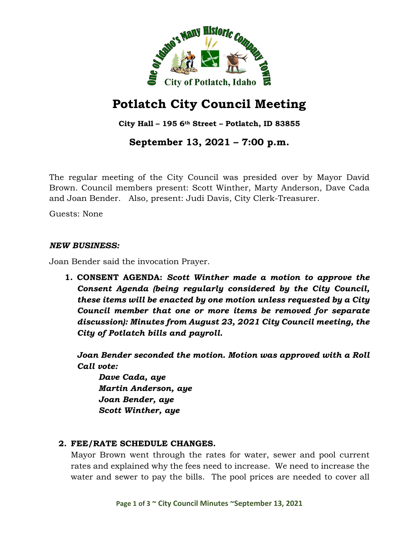

**City Hall – 195 6th Street – Potlatch, ID 83855**

# **September 13, 2021 – 7:00 p.m.**

The regular meeting of the City Council was presided over by Mayor David Brown. Council members present: Scott Winther, Marty Anderson, Dave Cada and Joan Bender. Also, present: Judi Davis, City Clerk-Treasurer.

Guests: None

#### *NEW BUSINESS:*

Joan Bender said the invocation Prayer.

**1. CONSENT AGENDA:** *Scott Winther made a motion to approve the Consent Agenda (being regularly considered by the City Council, these items will be enacted by one motion unless requested by a City Council member that one or more items be removed for separate discussion): Minutes from August 23, 2021 City Council meeting, the City of Potlatch bills and payroll.*

*Joan Bender seconded the motion. Motion was approved with a Roll Call vote:*

*Dave Cada, aye Martin Anderson, aye Joan Bender, aye Scott Winther, aye*

### **2. FEE/RATE SCHEDULE CHANGES.**

Mayor Brown went through the rates for water, sewer and pool current rates and explained why the fees need to increase. We need to increase the water and sewer to pay the bills. The pool prices are needed to cover all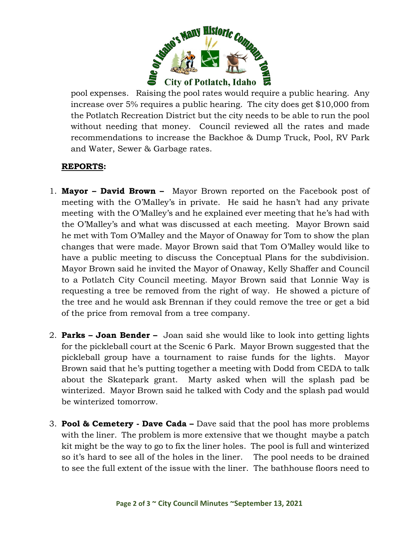

pool expenses. Raising the pool rates would require a public hearing. Any increase over 5% requires a public hearing. The city does get \$10,000 from the Potlatch Recreation District but the city needs to be able to run the pool without needing that money. Council reviewed all the rates and made recommendations to increase the Backhoe & Dump Truck, Pool, RV Park and Water, Sewer & Garbage rates.

### **REPORTS:**

- 1. **Mayor – David Brown** Mayor Brown reported on the Facebook post of meeting with the O'Malley's in private. He said he hasn't had any private meeting with the O'Malley's and he explained ever meeting that he's had with the O'Malley's and what was discussed at each meeting. Mayor Brown said he met with Tom O'Malley and the Mayor of Onaway for Tom to show the plan changes that were made. Mayor Brown said that Tom O'Malley would like to have a public meeting to discuss the Conceptual Plans for the subdivision. Mayor Brown said he invited the Mayor of Onaway, Kelly Shaffer and Council to a Potlatch City Council meeting. Mayor Brown said that Lonnie Way is requesting a tree be removed from the right of way. He showed a picture of the tree and he would ask Brennan if they could remove the tree or get a bid of the price from removal from a tree company.
- 2. **Parks – Joan Bender –** Joan said she would like to look into getting lights for the pickleball court at the Scenic 6 Park. Mayor Brown suggested that the pickleball group have a tournament to raise funds for the lights. Mayor Brown said that he's putting together a meeting with Dodd from CEDA to talk about the Skatepark grant. Marty asked when will the splash pad be winterized. Mayor Brown said he talked with Cody and the splash pad would be winterized tomorrow.
- 3. **Pool & Cemetery - Dave Cada –** Dave said that the pool has more problems with the liner. The problem is more extensive that we thought maybe a patch kit might be the way to go to fix the liner holes. The pool is full and winterized so it's hard to see all of the holes in the liner. The pool needs to be drained to see the full extent of the issue with the liner. The bathhouse floors need to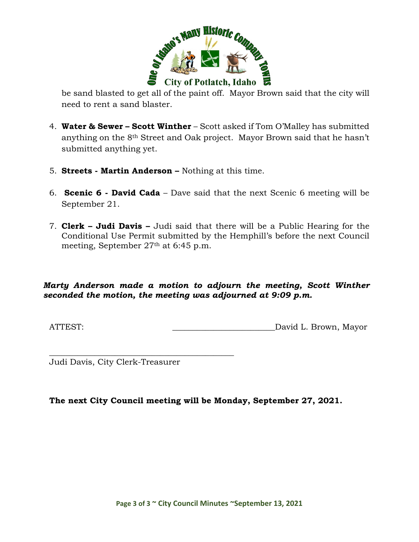

be sand blasted to get all of the paint off. Mayor Brown said that the city will need to rent a sand blaster.

- 4. **Water & Sewer – Scott Winther** Scott asked if Tom O'Malley has submitted anything on the 8th Street and Oak project. Mayor Brown said that he hasn't submitted anything yet.
- 5. **Streets - Martin Anderson –** Nothing at this time.
- 6. **Scenic 6 - David Cada** Dave said that the next Scenic 6 meeting will be September 21.
- 7. **Clerk – Judi Davis –** Judi said that there will be a Public Hearing for the Conditional Use Permit submitted by the Hemphill's before the next Council meeting, September 27th at 6:45 p.m.

### *Marty Anderson made a motion to adjourn the meeting, Scott Winther seconded the motion, the meeting was adjourned at 9:09 p.m.*

ATTEST: ATTEST: AND AND ALL DAVID L. Brown, Mayor

\_\_\_\_\_\_\_\_\_\_\_\_\_\_\_\_\_\_\_\_\_\_\_\_\_\_\_\_\_\_\_\_\_\_\_\_\_\_\_\_\_\_\_\_\_ Judi Davis, City Clerk-Treasurer

**The next City Council meeting will be Monday, September 27, 2021.**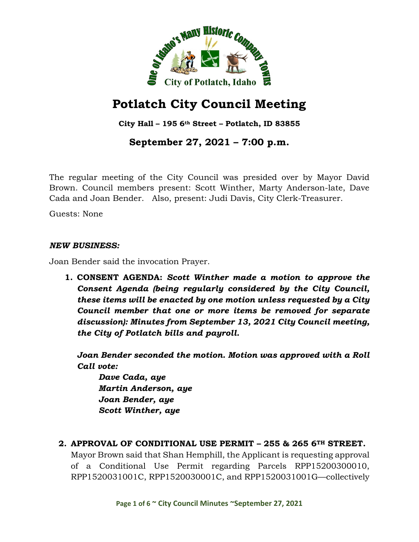

**City Hall – 195 6th Street – Potlatch, ID 83855**

# **September 27, 2021 – 7:00 p.m.**

The regular meeting of the City Council was presided over by Mayor David Brown. Council members present: Scott Winther, Marty Anderson-late, Dave Cada and Joan Bender. Also, present: Judi Davis, City Clerk-Treasurer.

Guests: None

#### *NEW BUSINESS:*

Joan Bender said the invocation Prayer.

**1. CONSENT AGENDA:** *Scott Winther made a motion to approve the Consent Agenda (being regularly considered by the City Council, these items will be enacted by one motion unless requested by a City Council member that one or more items be removed for separate discussion): Minutes from September 13, 2021 City Council meeting, the City of Potlatch bills and payroll.*

*Joan Bender seconded the motion. Motion was approved with a Roll Call vote:*

*Dave Cada, aye Martin Anderson, aye Joan Bender, aye Scott Winther, aye*

### **2. APPROVAL OF CONDITIONAL USE PERMIT – 255 & 265 6TH STREET.**

Mayor Brown said that Shan Hemphill, the Applicant is requesting approval of a Conditional Use Permit regarding Parcels RPP15200300010, RPP1520031001C, RPP1520030001C, and RPP1520031001G—collectively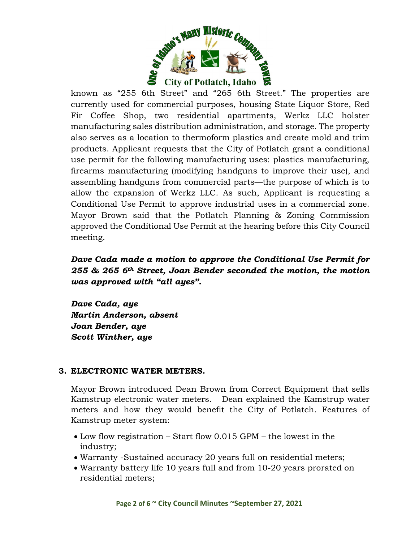

known as "255 6th Street" and "265 6th Street." The properties are currently used for commercial purposes, housing State Liquor Store, Red Fir Coffee Shop, two residential apartments, Werkz LLC holster manufacturing sales distribution administration, and storage. The property also serves as a location to thermoform plastics and create mold and trim products. Applicant requests that the City of Potlatch grant a conditional use permit for the following manufacturing uses: plastics manufacturing, firearms manufacturing (modifying handguns to improve their use), and assembling handguns from commercial parts—the purpose of which is to allow the expansion of Werkz LLC. As such, Applicant is requesting a Conditional Use Permit to approve industrial uses in a commercial zone. Mayor Brown said that the Potlatch Planning & Zoning Commission approved the Conditional Use Permit at the hearing before this City Council meeting.

# *Dave Cada made a motion to approve the Conditional Use Permit for 255 & 265 6th Street, Joan Bender seconded the motion, the motion was approved with "all ayes".*

*Dave Cada, aye Martin Anderson, absent Joan Bender, aye Scott Winther, aye*

#### **3. ELECTRONIC WATER METERS.**

Mayor Brown introduced Dean Brown from Correct Equipment that sells Kamstrup electronic water meters. Dean explained the Kamstrup water meters and how they would benefit the City of Potlatch. Features of Kamstrup meter system:

- Low flow registration Start flow 0.015 GPM the lowest in the industry;
- Warranty -Sustained accuracy 20 years full on residential meters;
- Warranty battery life 10 years full and from 10-20 years prorated on residential meters;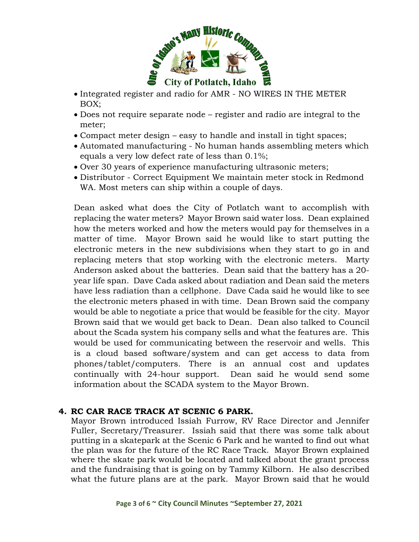

- Integrated register and radio for AMR NO WIRES IN THE METER BOX;
- Does not require separate node register and radio are integral to the meter;
- Compact meter design easy to handle and install in tight spaces;
- Automated manufacturing No human hands assembling meters which equals a very low defect rate of less than 0.1%;
- Over 30 years of experience manufacturing ultrasonic meters;
- Distributor Correct Equipment We maintain meter stock in Redmond WA. Most meters can ship within a couple of days.

Dean asked what does the City of Potlatch want to accomplish with replacing the water meters? Mayor Brown said water loss. Dean explained how the meters worked and how the meters would pay for themselves in a matter of time. Mayor Brown said he would like to start putting the electronic meters in the new subdivisions when they start to go in and replacing meters that stop working with the electronic meters. Marty Anderson asked about the batteries. Dean said that the battery has a 20 year life span. Dave Cada asked about radiation and Dean said the meters have less radiation than a cellphone. Dave Cada said he would like to see the electronic meters phased in with time. Dean Brown said the company would be able to negotiate a price that would be feasible for the city. Mayor Brown said that we would get back to Dean. Dean also talked to Council about the Scada system his company sells and what the features are. This would be used for communicating between the reservoir and wells. This is a cloud based software/system and can get access to data from phones/tablet/computers. There is an annual cost and updates continually with 24-hour support. Dean said he would send some information about the SCADA system to the Mayor Brown.

### **4. RC CAR RACE TRACK AT SCENIC 6 PARK.**

Mayor Brown introduced Issiah Furrow, RV Race Director and Jennifer Fuller, Secretary/Treasurer. Issiah said that there was some talk about putting in a skatepark at the Scenic 6 Park and he wanted to find out what the plan was for the future of the RC Race Track. Mayor Brown explained where the skate park would be located and talked about the grant process and the fundraising that is going on by Tammy Kilborn. He also described what the future plans are at the park. Mayor Brown said that he would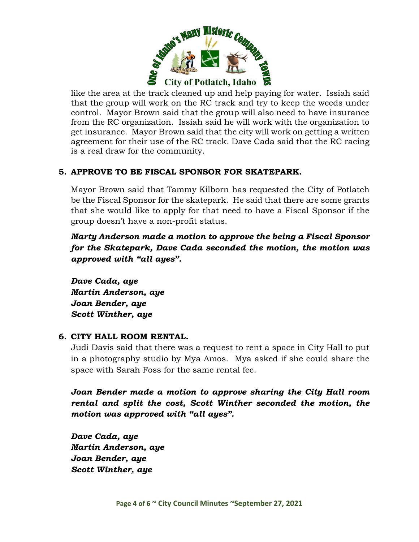

like the area at the track cleaned up and help paying for water. Issiah said that the group will work on the RC track and try to keep the weeds under control. Mayor Brown said that the group will also need to have insurance from the RC organization. Issiah said he will work with the organization to get insurance. Mayor Brown said that the city will work on getting a written agreement for their use of the RC track. Dave Cada said that the RC racing is a real draw for the community.

## **5. APPROVE TO BE FISCAL SPONSOR FOR SKATEPARK.**

Mayor Brown said that Tammy Kilborn has requested the City of Potlatch be the Fiscal Sponsor for the skatepark. He said that there are some grants that she would like to apply for that need to have a Fiscal Sponsor if the group doesn't have a non-profit status.

*Marty Anderson made a motion to approve the being a Fiscal Sponsor for the Skatepark, Dave Cada seconded the motion, the motion was approved with "all ayes".*

*Dave Cada, aye Martin Anderson, aye Joan Bender, aye Scott Winther, aye*

### **6. CITY HALL ROOM RENTAL.**

Judi Davis said that there was a request to rent a space in City Hall to put in a photography studio by Mya Amos. Mya asked if she could share the space with Sarah Foss for the same rental fee.

*Joan Bender made a motion to approve sharing the City Hall room rental and split the cost, Scott Winther seconded the motion, the motion was approved with "all ayes".*

*Dave Cada, aye Martin Anderson, aye Joan Bender, aye Scott Winther, aye*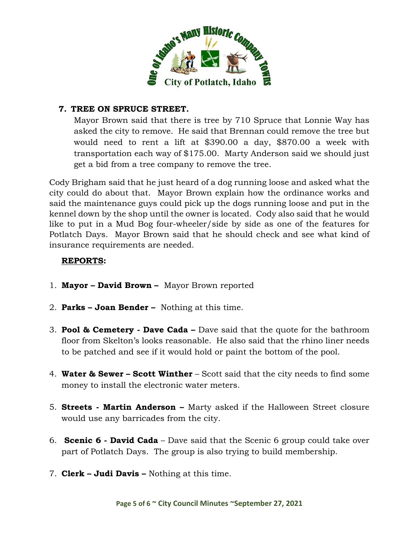

### **7. TREE ON SPRUCE STREET.**

Mayor Brown said that there is tree by 710 Spruce that Lonnie Way has asked the city to remove. He said that Brennan could remove the tree but would need to rent a lift at \$390.00 a day, \$870.00 a week with transportation each way of \$175.00. Marty Anderson said we should just get a bid from a tree company to remove the tree.

Cody Brigham said that he just heard of a dog running loose and asked what the city could do about that. Mayor Brown explain how the ordinance works and said the maintenance guys could pick up the dogs running loose and put in the kennel down by the shop until the owner is located. Cody also said that he would like to put in a Mud Bog four-wheeler/side by side as one of the features for Potlatch Days. Mayor Brown said that he should check and see what kind of insurance requirements are needed.

### **REPORTS:**

- 1. **Mayor – David Brown** Mayor Brown reported
- 2. **Parks – Joan Bender –** Nothing at this time.
- 3. **Pool & Cemetery - Dave Cada –** Dave said that the quote for the bathroom floor from Skelton's looks reasonable. He also said that the rhino liner needs to be patched and see if it would hold or paint the bottom of the pool.
- 4. **Water & Sewer – Scott Winther** Scott said that the city needs to find some money to install the electronic water meters.
- 5. **Streets - Martin Anderson –** Marty asked if the Halloween Street closure would use any barricades from the city.
- 6. **Scenic 6 - David Cada** Dave said that the Scenic 6 group could take over part of Potlatch Days. The group is also trying to build membership.
- 7. **Clerk – Judi Davis –** Nothing at this time.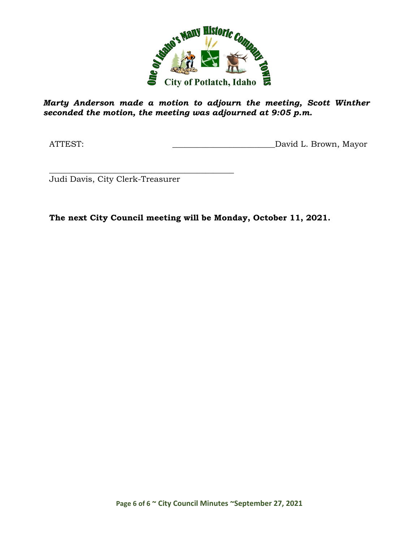

*Marty Anderson made a motion to adjourn the meeting, Scott Winther seconded the motion, the meeting was adjourned at 9:05 p.m.*

ATTEST: ATTEST: AND AND ALL DAVID L. Brown, Mayor

\_\_\_\_\_\_\_\_\_\_\_\_\_\_\_\_\_\_\_\_\_\_\_\_\_\_\_\_\_\_\_\_\_\_\_\_\_\_\_\_\_\_\_\_\_ Judi Davis, City Clerk-Treasurer

**The next City Council meeting will be Monday, October 11, 2021.**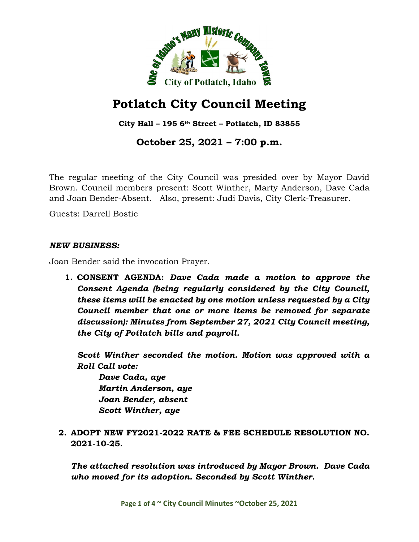

**City Hall – 195 6th Street – Potlatch, ID 83855**

# **October 25, 2021 – 7:00 p.m.**

The regular meeting of the City Council was presided over by Mayor David Brown. Council members present: Scott Winther, Marty Anderson, Dave Cada and Joan Bender-Absent. Also, present: Judi Davis, City Clerk-Treasurer.

Guests: Darrell Bostic

#### *NEW BUSINESS:*

Joan Bender said the invocation Prayer.

**1. CONSENT AGENDA:** *Dave Cada made a motion to approve the Consent Agenda (being regularly considered by the City Council, these items will be enacted by one motion unless requested by a City Council member that one or more items be removed for separate discussion): Minutes from September 27, 2021 City Council meeting, the City of Potlatch bills and payroll.*

*Scott Winther seconded the motion. Motion was approved with a Roll Call vote:*

*Dave Cada, aye Martin Anderson, aye Joan Bender, absent Scott Winther, aye*

**2. ADOPT NEW FY2021-2022 RATE & FEE SCHEDULE RESOLUTION NO. 2021-10-25.**

*The attached resolution was introduced by Mayor Brown. Dave Cada who moved for its adoption. Seconded by Scott Winther.*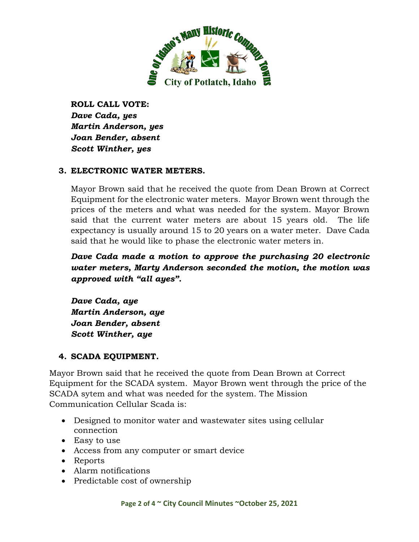

**ROLL CALL VOTE:** *Dave Cada, yes Martin Anderson, yes Joan Bender, absent Scott Winther, yes*

### **3. ELECTRONIC WATER METERS.**

Mayor Brown said that he received the quote from Dean Brown at Correct Equipment for the electronic water meters. Mayor Brown went through the prices of the meters and what was needed for the system. Mayor Brown said that the current water meters are about 15 years old. The life expectancy is usually around 15 to 20 years on a water meter. Dave Cada said that he would like to phase the electronic water meters in.

*Dave Cada made a motion to approve the purchasing 20 electronic water meters, Marty Anderson seconded the motion, the motion was approved with "all ayes".*

*Dave Cada, aye Martin Anderson, aye Joan Bender, absent Scott Winther, aye*

### **4. SCADA EQUIPMENT.**

Mayor Brown said that he received the quote from Dean Brown at Correct Equipment for the SCADA system. Mayor Brown went through the price of the SCADA sytem and what was needed for the system. The Mission Communication Cellular Scada is:

- Designed to monitor water and wastewater sites using cellular connection
- Easy to use
- Access from any computer or smart device
- Reports
- Alarm notifications
- Predictable cost of ownership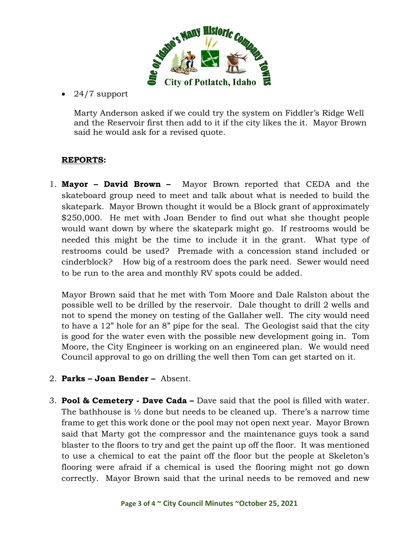

• 24/7 support

Marty Anderson asked if we could try the system on Fiddler's Ridge Well and the Reservoir first then add to it if the city likes the it. Mayor Brown said he would ask for a revised quote.

# **REPORTS:**

1. **Mayor – David Brown –** Mayor Brown reported that CEDA and the skateboard group need to meet and talk about what is needed to build the skatepark. Mayor Brown thought it would be a Block grant of approximately \$250,000. He met with Joan Bender to find out what she thought people would want down by where the skatepark might go. If restrooms would be needed this might be the time to include it in the grant. What type of restrooms could be used? Premade with a concession stand included or cinderblock? How big of a restroom does the park need. Sewer would need to be run to the area and monthly RV spots could be added.

Mayor Brown said that he met with Tom Moore and Dale Ralston about the possible well to be drilled by the reservoir. Dale thought to drill 2 wells and not to spend the money on testing of the Gallaher well. The city would need to have a 12" hole for an 8" pipe for the seal. The Geologist said that the city is good for the water even with the possible new development going in. Tom Moore, the City Engineer is working on an engineered plan. We would need Council approval to go on drilling the well then Tom can get started on it.

- 2. **Parks – Joan Bender –** Absent.
- 3. **Pool & Cemetery - Dave Cada –** Dave said that the pool is filled with water. The bathhouse is  $\frac{1}{2}$  done but needs to be cleaned up. There's a narrow time frame to get this work done or the pool may not open next year. Mayor Brown said that Marty got the compressor and the maintenance guys took a sand blaster to the floors to try and get the paint up off the floor. It was mentioned to use a chemical to eat the paint off the floor but the people at Skeleton's flooring were afraid if a chemical is used the flooring might not go down correctly. Mayor Brown said that the urinal needs to be removed and new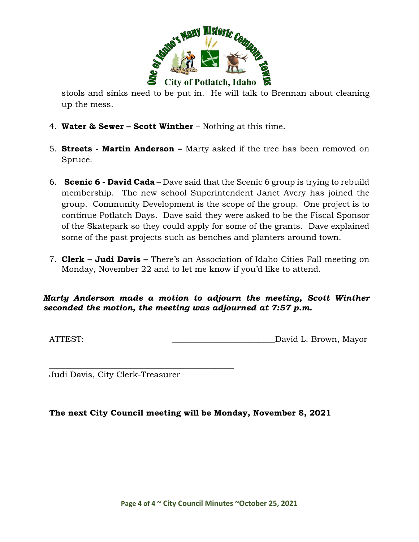

stools and sinks need to be put in. He will talk to Brennan about cleaning up the mess.

- 4. **Water & Sewer – Scott Winther** Nothing at this time.
- 5. **Streets - Martin Anderson –** Marty asked if the tree has been removed on Spruce.
- 6. **Scenic 6 - David Cada** Dave said that the Scenic 6 group is trying to rebuild membership. The new school Superintendent Janet Avery has joined the group. Community Development is the scope of the group. One project is to continue Potlatch Days. Dave said they were asked to be the Fiscal Sponsor of the Skatepark so they could apply for some of the grants. Dave explained some of the past projects such as benches and planters around town.
- 7. **Clerk – Judi Davis –** There's an Association of Idaho Cities Fall meeting on Monday, November 22 and to let me know if you'd like to attend.

### *Marty Anderson made a motion to adjourn the meeting, Scott Winther seconded the motion, the meeting was adjourned at 7:57 p.m.*

ATTEST:  $David L. Brown, Mayor$ 

Judi Davis, City Clerk-Treasurer

\_\_\_\_\_\_\_\_\_\_\_\_\_\_\_\_\_\_\_\_\_\_\_\_\_\_\_\_\_\_\_\_\_\_\_\_\_\_\_\_\_\_\_\_\_

### **The next City Council meeting will be Monday, November 8, 2021**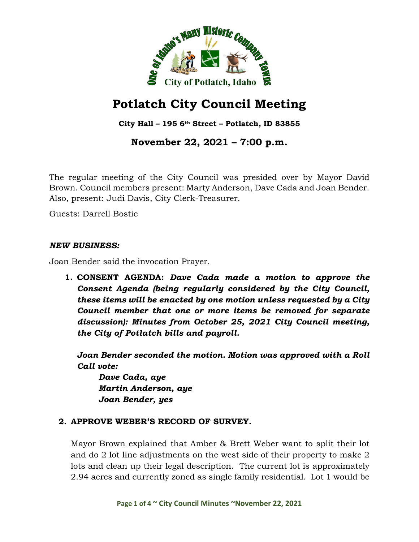

# **Potlatch City Council Meeting**

**City Hall – 195 6th Street – Potlatch, ID 83855**

**November 22, 2021 – 7:00 p.m.**

The regular meeting of the City Council was presided over by Mayor David Brown. Council members present: Marty Anderson, Dave Cada and Joan Bender. Also, present: Judi Davis, City Clerk-Treasurer.

Guests: Darrell Bostic

#### *NEW BUSINESS:*

Joan Bender said the invocation Prayer.

**1. CONSENT AGENDA:** *Dave Cada made a motion to approve the Consent Agenda (being regularly considered by the City Council, these items will be enacted by one motion unless requested by a City Council member that one or more items be removed for separate discussion): Minutes from October 25, 2021 City Council meeting, the City of Potlatch bills and payroll.*

*Joan Bender seconded the motion. Motion was approved with a Roll Call vote:*

*Dave Cada, aye Martin Anderson, aye Joan Bender, yes*

## **2. APPROVE WEBER'S RECORD OF SURVEY.**

Mayor Brown explained that Amber & Brett Weber want to split their lot and do 2 lot line adjustments on the west side of their property to make 2 lots and clean up their legal description. The current lot is approximately 2.94 acres and currently zoned as single family residential. Lot 1 would be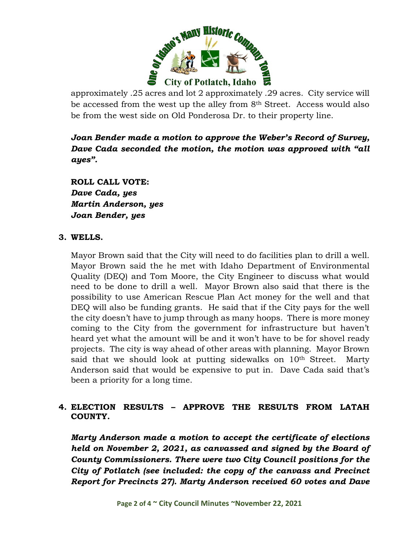

approximately .25 acres and lot 2 approximately .29 acres. City service will be accessed from the west up the alley from 8<sup>th</sup> Street. Access would also be from the west side on Old Ponderosa Dr. to their property line.

*Joan Bender made a motion to approve the Weber's Record of Survey, Dave Cada seconded the motion, the motion was approved with "all ayes".*

**ROLL CALL VOTE:** *Dave Cada, yes Martin Anderson, yes Joan Bender, yes*

#### **3. WELLS.**

Mayor Brown said that the City will need to do facilities plan to drill a well. Mayor Brown said the he met with Idaho Department of Environmental Quality (DEQ) and Tom Moore, the City Engineer to discuss what would need to be done to drill a well. Mayor Brown also said that there is the possibility to use American Rescue Plan Act money for the well and that DEQ will also be funding grants. He said that if the City pays for the well the city doesn't have to jump through as many hoops. There is more money coming to the City from the government for infrastructure but haven't heard yet what the amount will be and it won't have to be for shovel ready projects. The city is way ahead of other areas with planning. Mayor Brown said that we should look at putting sidewalks on 10<sup>th</sup> Street. Marty Anderson said that would be expensive to put in. Dave Cada said that's been a priority for a long time.

## **4. ELECTION RESULTS – APPROVE THE RESULTS FROM LATAH COUNTY.**

*Marty Anderson made a motion to accept the certificate of elections held on November 2, 2021, as canvassed and signed by the Board of County Commissioners. There were two City Council positions for the City of Potlatch (see included: the copy of the canvass and Precinct Report for Precincts 27). Marty Anderson received 60 votes and Dave*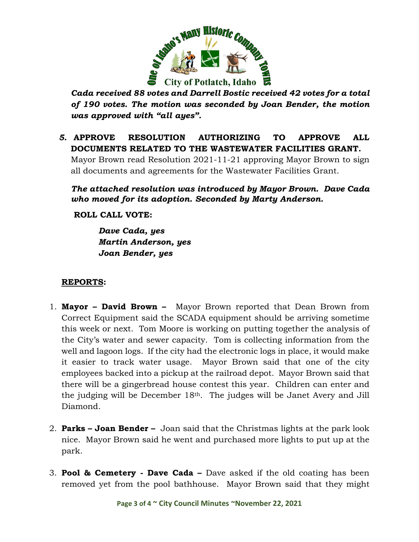

*Cada received 88 votes and Darrell Bostic received 42 votes for a total of 190 votes. The motion was seconded by Joan Bender, the motion was approved with "all ayes".*

# *5.* **APPROVE RESOLUTION AUTHORIZING TO APPROVE ALL DOCUMENTS RELATED TO THE WASTEWATER FACILITIES GRANT.**

Mayor Brown read Resolution 2021-11-21 approving Mayor Brown to sign all documents and agreements for the Wastewater Facilities Grant.

*The attached resolution was introduced by Mayor Brown. Dave Cada who moved for its adoption. Seconded by Marty Anderson.*

**ROLL CALL VOTE:**

*Dave Cada, yes Martin Anderson, yes Joan Bender, yes*

# **REPORTS:**

- 1. **Mayor – David Brown** Mayor Brown reported that Dean Brown from Correct Equipment said the SCADA equipment should be arriving sometime this week or next. Tom Moore is working on putting together the analysis of the City's water and sewer capacity. Tom is collecting information from the well and lagoon logs. If the city had the electronic logs in place, it would make it easier to track water usage. Mayor Brown said that one of the city employees backed into a pickup at the railroad depot. Mayor Brown said that there will be a gingerbread house contest this year. Children can enter and the judging will be December 18th. The judges will be Janet Avery and Jill Diamond.
- 2. **Parks – Joan Bender –** Joan said that the Christmas lights at the park look nice. Mayor Brown said he went and purchased more lights to put up at the park.
- 3. **Pool & Cemetery - Dave Cada –** Dave asked if the old coating has been removed yet from the pool bathhouse. Mayor Brown said that they might